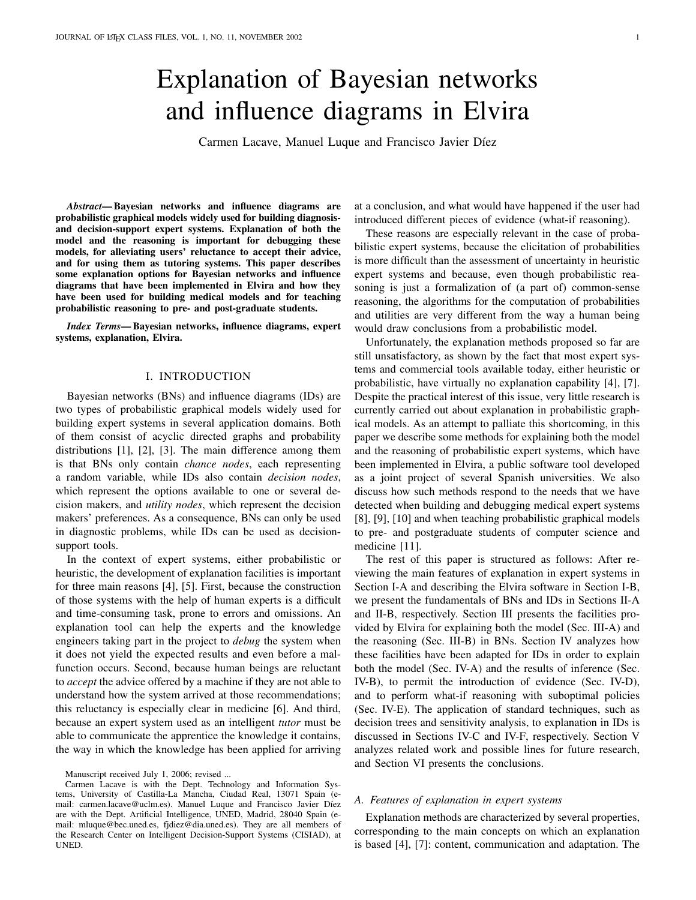# Explanation of Bayesian networks and influence diagrams in Elvira

Carmen Lacave, Manuel Luque and Francisco Javier Díez

*Abstract*— Bayesian networks and influence diagrams are probabilistic graphical models widely used for building diagnosisand decision-support expert systems. Explanation of both the model and the reasoning is important for debugging these models, for alleviating users' reluctance to accept their advice, and for using them as tutoring systems. This paper describes some explanation options for Bayesian networks and influence diagrams that have been implemented in Elvira and how they have been used for building medical models and for teaching probabilistic reasoning to pre- and post-graduate students.

*Index Terms*— Bayesian networks, influence diagrams, expert systems, explanation, Elvira.

#### I. INTRODUCTION

Bayesian networks (BNs) and influence diagrams (IDs) are two types of probabilistic graphical models widely used for building expert systems in several application domains. Both of them consist of acyclic directed graphs and probability distributions [1], [2], [3]. The main difference among them is that BNs only contain *chance nodes*, each representing a random variable, while IDs also contain *decision nodes*, which represent the options available to one or several decision makers, and *utility nodes*, which represent the decision makers' preferences. As a consequence, BNs can only be used in diagnostic problems, while IDs can be used as decisionsupport tools.

In the context of expert systems, either probabilistic or heuristic, the development of explanation facilities is important for three main reasons [4], [5]. First, because the construction of those systems with the help of human experts is a difficult and time-consuming task, prone to errors and omissions. An explanation tool can help the experts and the knowledge engineers taking part in the project to *debug* the system when it does not yield the expected results and even before a malfunction occurs. Second, because human beings are reluctant to *accept* the advice offered by a machine if they are not able to understand how the system arrived at those recommendations; this reluctancy is especially clear in medicine [6]. And third, because an expert system used as an intelligent *tutor* must be able to communicate the apprentice the knowledge it contains, the way in which the knowledge has been applied for arriving

at a conclusion, and what would have happened if the user had introduced different pieces of evidence (what-if reasoning).

These reasons are especially relevant in the case of probabilistic expert systems, because the elicitation of probabilities is more difficult than the assessment of uncertainty in heuristic expert systems and because, even though probabilistic reasoning is just a formalization of (a part of) common-sense reasoning, the algorithms for the computation of probabilities and utilities are very different from the way a human being would draw conclusions from a probabilistic model.

Unfortunately, the explanation methods proposed so far are still unsatisfactory, as shown by the fact that most expert systems and commercial tools available today, either heuristic or probabilistic, have virtually no explanation capability [4], [7]. Despite the practical interest of this issue, very little research is currently carried out about explanation in probabilistic graphical models. As an attempt to palliate this shortcoming, in this paper we describe some methods for explaining both the model and the reasoning of probabilistic expert systems, which have been implemented in Elvira, a public software tool developed as a joint project of several Spanish universities. We also discuss how such methods respond to the needs that we have detected when building and debugging medical expert systems [8], [9], [10] and when teaching probabilistic graphical models to pre- and postgraduate students of computer science and medicine [11].

The rest of this paper is structured as follows: After reviewing the main features of explanation in expert systems in Section I-A and describing the Elvira software in Section I-B, we present the fundamentals of BNs and IDs in Sections II-A and II-B, respectively. Section III presents the facilities provided by Elvira for explaining both the model (Sec. III-A) and the reasoning (Sec. III-B) in BNs. Section IV analyzes how these facilities have been adapted for IDs in order to explain both the model (Sec. IV-A) and the results of inference (Sec. IV-B), to permit the introduction of evidence (Sec. IV-D), and to perform what-if reasoning with suboptimal policies (Sec. IV-E). The application of standard techniques, such as decision trees and sensitivity analysis, to explanation in IDs is discussed in Sections IV-C and IV-F, respectively. Section V analyzes related work and possible lines for future research, and Section VI presents the conclusions.

#### *A. Features of explanation in expert systems*

Explanation methods are characterized by several properties, corresponding to the main concepts on which an explanation is based [4], [7]: content, communication and adaptation. The

Manuscript received July 1, 2006; revised ...

Carmen Lacave is with the Dept. Technology and Information Systems, University of Castilla-La Mancha, Ciudad Real, 13071 Spain (email: carmen.lacave@uclm.es). Manuel Luque and Francisco Javier Díez are with the Dept. Artificial Intelligence, UNED, Madrid, 28040 Spain (email: mluque@bec.uned.es, fjdiez@dia.uned.es). They are all members of the Research Center on Intelligent Decision-Support Systems (CISIAD), at UNED.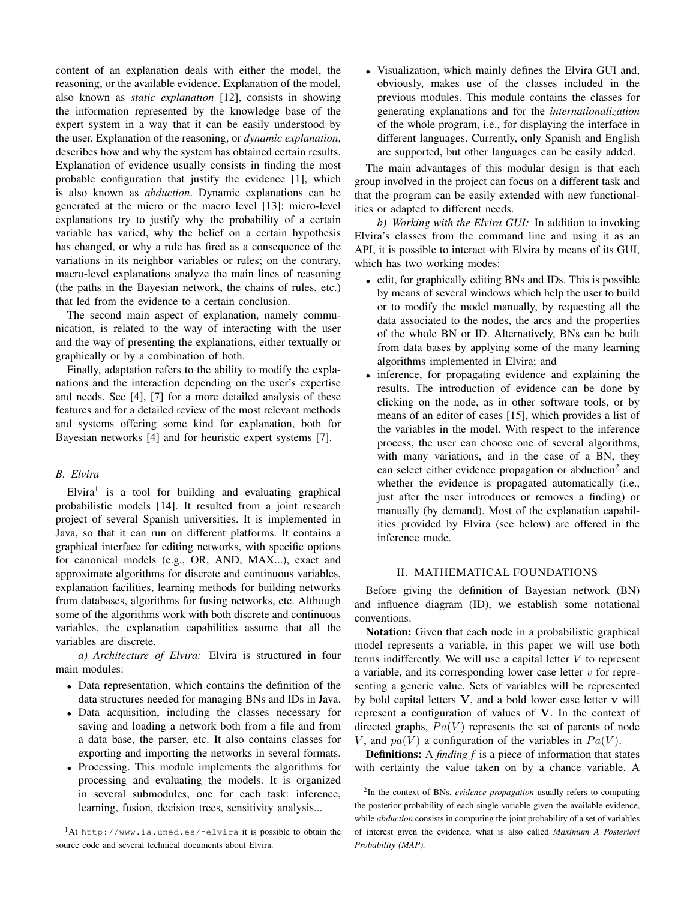content of an explanation deals with either the model, the reasoning, or the available evidence. Explanation of the model, also known as *static explanation* [12], consists in showing the information represented by the knowledge base of the expert system in a way that it can be easily understood by the user. Explanation of the reasoning, or *dynamic explanation*, describes how and why the system has obtained certain results. Explanation of evidence usually consists in finding the most probable configuration that justify the evidence [1], which is also known as *abduction*. Dynamic explanations can be generated at the micro or the macro level [13]: micro-level explanations try to justify why the probability of a certain variable has varied, why the belief on a certain hypothesis has changed, or why a rule has fired as a consequence of the variations in its neighbor variables or rules; on the contrary, macro-level explanations analyze the main lines of reasoning (the paths in the Bayesian network, the chains of rules, etc.) that led from the evidence to a certain conclusion.

The second main aspect of explanation, namely communication, is related to the way of interacting with the user and the way of presenting the explanations, either textually or graphically or by a combination of both.

Finally, adaptation refers to the ability to modify the explanations and the interaction depending on the user's expertise and needs. See [4], [7] for a more detailed analysis of these features and for a detailed review of the most relevant methods and systems offering some kind for explanation, both for Bayesian networks [4] and for heuristic expert systems [7].

# *B. Elvira*

Elvira<sup>1</sup> is a tool for building and evaluating graphical probabilistic models [14]. It resulted from a joint research project of several Spanish universities. It is implemented in Java, so that it can run on different platforms. It contains a graphical interface for editing networks, with specific options for canonical models (e.g., OR, AND, MAX...), exact and approximate algorithms for discrete and continuous variables, explanation facilities, learning methods for building networks from databases, algorithms for fusing networks, etc. Although some of the algorithms work with both discrete and continuous variables, the explanation capabilities assume that all the variables are discrete.

*a) Architecture of Elvira:* Elvira is structured in four main modules:

- Data representation, which contains the definition of the data structures needed for managing BNs and IDs in Java.
- Data acquisition, including the classes necessary for saving and loading a network both from a file and from a data base, the parser, etc. It also contains classes for exporting and importing the networks in several formats.
- Processing. This module implements the algorithms for processing and evaluating the models. It is organized in several submodules, one for each task: inference, learning, fusion, decision trees, sensitivity analysis...

<sup>1</sup>At http://www.ia.uned.es/~elvira it is possible to obtain the source code and several technical documents about Elvira.

• Visualization, which mainly defines the Elvira GUI and, obviously, makes use of the classes included in the previous modules. This module contains the classes for generating explanations and for the *internationalization* of the whole program, i.e., for displaying the interface in different languages. Currently, only Spanish and English are supported, but other languages can be easily added.

The main advantages of this modular design is that each group involved in the project can focus on a different task and that the program can be easily extended with new functionalities or adapted to different needs.

*b) Working with the Elvira GUI:* In addition to invoking Elvira's classes from the command line and using it as an API, it is possible to interact with Elvira by means of its GUI, which has two working modes:

- edit, for graphically editing BNs and IDs. This is possible by means of several windows which help the user to build or to modify the model manually, by requesting all the data associated to the nodes, the arcs and the properties of the whole BN or ID. Alternatively, BNs can be built from data bases by applying some of the many learning algorithms implemented in Elvira; and
- inference, for propagating evidence and explaining the results. The introduction of evidence can be done by clicking on the node, as in other software tools, or by means of an editor of cases [15], which provides a list of the variables in the model. With respect to the inference process, the user can choose one of several algorithms, with many variations, and in the case of a BN, they can select either evidence propagation or abduction<sup>2</sup> and whether the evidence is propagated automatically (i.e., just after the user introduces or removes a finding) or manually (by demand). Most of the explanation capabilities provided by Elvira (see below) are offered in the inference mode.

#### II. MATHEMATICAL FOUNDATIONS

Before giving the definition of Bayesian network (BN) and influence diagram (ID), we establish some notational conventions.

Notation: Given that each node in a probabilistic graphical model represents a variable, in this paper we will use both terms indifferently. We will use a capital letter  $V$  to represent a variable, and its corresponding lower case letter  $v$  for representing a generic value. Sets of variables will be represented by bold capital letters  $V$ , and a bold lower case letter  $v$  will represent a configuration of values of V. In the context of directed graphs,  $Pa(V)$  represents the set of parents of node V, and  $pa(V)$  a configuration of the variables in  $Pa(V)$ .

Definitions: A *finding f* is a piece of information that states with certainty the value taken on by a chance variable. A

<sup>2</sup> In the context of BNs, *evidence propagation* usually refers to computing the posterior probability of each single variable given the available evidence, while *abduction* consists in computing the joint probability of a set of variables of interest given the evidence, what is also called *Maximum A Posteriori Probability (MAP).*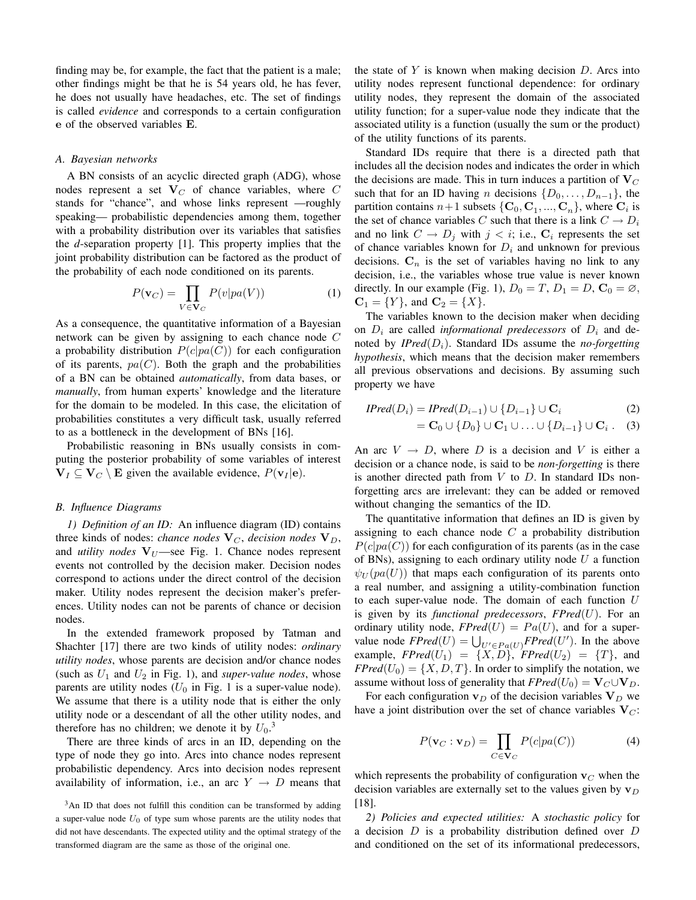finding may be, for example, the fact that the patient is a male; other findings might be that he is 54 years old, he has fever, he does not usually have headaches, etc. The set of findings is called *evidence* and corresponds to a certain configuration e of the observed variables E.

#### *A. Bayesian networks*

A BN consists of an acyclic directed graph (ADG), whose nodes represent a set  $V_C$  of chance variables, where C stands for "chance", and whose links represent —roughly speaking— probabilistic dependencies among them, together with a probability distribution over its variables that satisfies the *d*-separation property [1]. This property implies that the joint probability distribution can be factored as the product of the probability of each node conditioned on its parents.

$$
P(\mathbf{v}_C) = \prod_{V \in \mathbf{V}_C} P(v|pa(V))
$$
 (1)

As a consequence, the quantitative information of a Bayesian network can be given by assigning to each chance node C a probability distribution  $P(c|pa(C))$  for each configuration of its parents,  $pa(C)$ . Both the graph and the probabilities of a BN can be obtained *automatically*, from data bases, or *manually*, from human experts' knowledge and the literature for the domain to be modeled. In this case, the elicitation of probabilities constitutes a very difficult task, usually referred to as a bottleneck in the development of BNs [16].

Probabilistic reasoning in BNs usually consists in computing the posterior probability of some variables of interest  $V_I \subseteq V_C \setminus E$  given the available evidence,  $P(v_I | e)$ .

#### *B. Influence Diagrams*

*1) Definition of an ID:* An influence diagram (ID) contains three kinds of nodes: *chance nodes*  $V_C$ *, decision nodes*  $V_D$ *,* and *utility nodes*  $V_U$ —see Fig. 1. Chance nodes represent events not controlled by the decision maker. Decision nodes correspond to actions under the direct control of the decision maker. Utility nodes represent the decision maker's preferences. Utility nodes can not be parents of chance or decision nodes.

In the extended framework proposed by Tatman and Shachter [17] there are two kinds of utility nodes: *ordinary utility nodes*, whose parents are decision and/or chance nodes (such as  $U_1$  and  $U_2$  in Fig. 1), and *super-value nodes*, whose parents are utility nodes  $(U_0$  in Fig. 1 is a super-value node). We assume that there is a utility node that is either the only utility node or a descendant of all the other utility nodes, and therefore has no children; we denote it by  $U_0$ .<sup>3</sup>

There are three kinds of arcs in an ID, depending on the type of node they go into. Arcs into chance nodes represent probabilistic dependency. Arcs into decision nodes represent availability of information, i.e., an arc  $Y \rightarrow D$  means that the state of  $Y$  is known when making decision  $D$ . Arcs into utility nodes represent functional dependence: for ordinary utility nodes, they represent the domain of the associated utility function; for a super-value node they indicate that the associated utility is a function (usually the sum or the product) of the utility functions of its parents.

Standard IDs require that there is a directed path that includes all the decision nodes and indicates the order in which the decisions are made. This in turn induces a partition of  $V_C$ such that for an ID having n decisions  $\{D_0, \ldots, D_{n-1}\}$ , the partition contains  $n+1$  subsets  $\{C_0, C_1, ..., C_n\}$ , where  $C_i$  is the set of chance variables C such that there is a link  $C \rightarrow D_i$ and no link  $C \to D_j$  with  $j < i$ ; i.e.,  $C_i$  represents the set of chance variables known for  $D_i$  and unknown for previous decisions.  $C_n$  is the set of variables having no link to any decision, i.e., the variables whose true value is never known directly. In our example (Fig. 1),  $D_0 = T$ ,  $D_1 = D$ ,  $C_0 = \emptyset$ ,  $C_1 = \{Y\}$ , and  $C_2 = \{X\}$ .

The variables known to the decision maker when deciding on  $D_i$  are called *informational predecessors* of  $D_i$  and denoted by *IPred* $(D_i)$ . Standard *IDs* assume the *no-forgetting hypothesis*, which means that the decision maker remembers all previous observations and decisions. By assuming such property we have

$$
IPred(D_i) = IPred(D_{i-1}) \cup \{D_{i-1}\} \cup \mathbf{C}_i
$$
  
=  $\mathbf{C}_0 \cup \{D_0\} \cup \mathbf{C}_1 \cup \ldots \cup \{D_{i-1}\} \cup \mathbf{C}_i$ . (3)

An arc  $V \rightarrow D$ , where D is a decision and V is either a decision or a chance node, is said to be *non-forgetting* is there is another directed path from  $V$  to  $D$ . In standard IDs nonforgetting arcs are irrelevant: they can be added or removed without changing the semantics of the ID.

The quantitative information that defines an ID is given by assigning to each chance node  $C$  a probability distribution  $P(c|pa(C))$  for each configuration of its parents (as in the case of BNs), assigning to each ordinary utility node  $U$  a function  $\psi_U(pa(U))$  that maps each configuration of its parents onto a real number, and assigning a utility-combination function to each super-value node. The domain of each function  $U$ is given by its *functional predecessors*, *FPred*(U). For an ordinary utility node,  $FPred(U) = Pa(U)$ , and for a superordinary utility hode,  $PPrea(U) = Fa(U)$ , and for a super-<br>value node  $FPred(U) = \bigcup_{U' \in Pa(U)} FPred(U')$ . In the above example,  $FPred(U_1) = \{X, D\}$ ,  $FPred(U_2) = \{T\}$ , and  $FPred(U_0) = \{X, D, T\}$ . In order to simplify the notation, we assume without loss of generality that  $FPred(U_0) = V_C \cup V_D$ .

For each configuration  $v_D$  of the decision variables  $V_D$  we have a joint distribution over the set of chance variables  $V_C$ :

$$
P(\mathbf{v}_C : \mathbf{v}_D) = \prod_{C \in \mathbf{V}_C} P(c|pa(C)) \tag{4}
$$

which represents the probability of configuration  $v<sub>C</sub>$  when the decision variables are externally set to the values given by  $v_D$ [18].

*2) Policies and expected utilities:* A *stochastic policy* for a decision  $D$  is a probability distribution defined over  $D$ and conditioned on the set of its informational predecessors,

<sup>&</sup>lt;sup>3</sup>An ID that does not fulfill this condition can be transformed by adding a super-value node  $U_0$  of type sum whose parents are the utility nodes that did not have descendants. The expected utility and the optimal strategy of the transformed diagram are the same as those of the original one.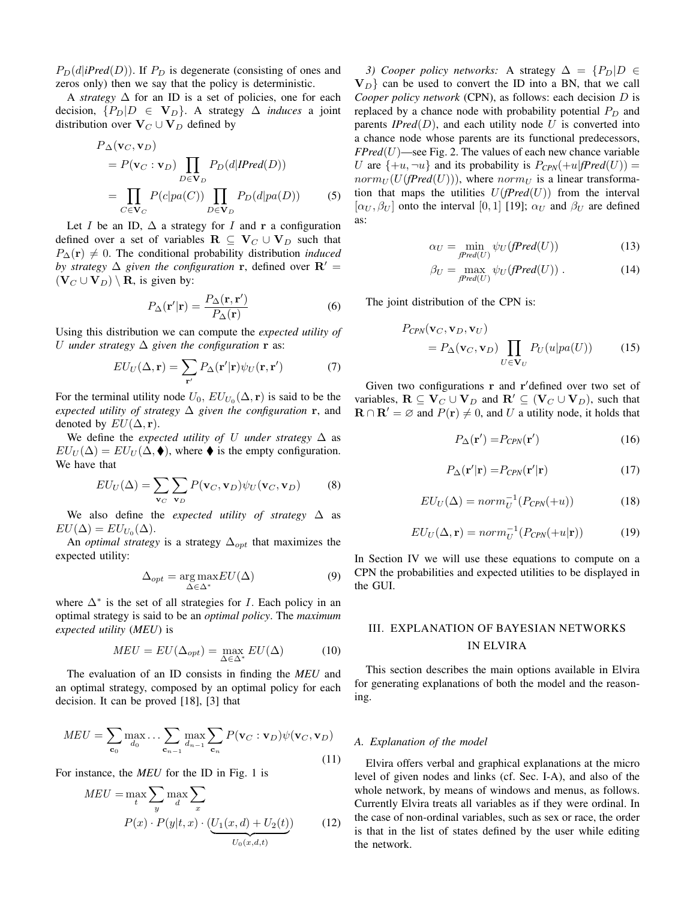$P_D(d|iPred(D))$ . If  $P_D$  is degenerate (consisting of ones and zeros only) then we say that the policy is deterministic.

A *strategy* ∆ for an ID is a set of policies, one for each decision,  ${P_D|D \in V_D}$ . A strategy  $∆$  *induces* a joint distribution over  $V_C \cup V_D$  defined by

$$
P_{\Delta}(\mathbf{v}_C, \mathbf{v}_D)
$$
  
=  $P(\mathbf{v}_C : \mathbf{v}_D) \prod_{D \in \mathbf{V}_D} P_D(d|IPred(D))$   
=  $\prod_{C \in \mathbf{V}_C} P(c|pa(C)) \prod_{D \in \mathbf{V}_D} P_D(d|pa(D))$  (5)

Let *I* be an ID,  $\Delta$  a strategy for *I* and **r** a configuration defined over a set of variables  $\mathbf{R} \subseteq \mathbf{V}_C \cup \mathbf{V}_D$  such that  $P_{\Delta}(\mathbf{r}) \neq 0$ . The conditional probability distribution *induced by strategy*  $\Delta$  *given the configuration* **r**, defined over  $\mathbf{R}' =$  $(\mathbf{V}_C \cup \mathbf{V}_D) \setminus \mathbf{R}$ , is given by:

$$
P_{\Delta}(\mathbf{r}'|\mathbf{r}) = \frac{P_{\Delta}(\mathbf{r}, \mathbf{r}')}{P_{\Delta}(\mathbf{r})}
$$
 (6)

Using this distribution we can compute the *expected utility of* U *under strategy*  $\Delta$  *given the configuration* **r** as:

$$
EU_U(\Delta, \mathbf{r}) = \sum_{\mathbf{r}'} P_{\Delta}(\mathbf{r'}|\mathbf{r}) \psi_U(\mathbf{r}, \mathbf{r'})
$$
(7)

For the terminal utility node  $U_0$ ,  $EU_{U_0}(\Delta, \mathbf{r})$  is said to be the *expected utility of strategy* ∆ *given the configuration* r, and denoted by  $EU(\Delta, {\bf r}).$ 

We define the *expected utility of* U *under strategy* ∆ as  $EU_U(\Delta) = EU_U(\Delta, \blacklozenge)$ , where  $\blacklozenge$  is the empty configuration. We have that

$$
EU_U(\Delta) = \sum_{\mathbf{v}_C} \sum_{\mathbf{v}_D} P(\mathbf{v}_C, \mathbf{v}_D) \psi_U(\mathbf{v}_C, \mathbf{v}_D)
$$
(8)

We also define the *expected utility of strategy* ∆ as  $EU(\Delta) = EU_{U_0}(\Delta).$ 

An *optimal strategy* is a strategy  $\Delta_{opt}$  that maximizes the expected utility:

$$
\Delta_{opt} = \underset{\Delta \in \Delta^*}{\arg \max} EU(\Delta) \tag{9}
$$

where  $\Delta^*$  is the set of all strategies for *I*. Each policy in an optimal strategy is said to be an *optimal policy*. The *maximum expected utility* (*MEU*) is

$$
MEU = EU(\Delta_{opt}) = \max_{\Delta \in \Delta^*} EU(\Delta)
$$
 (10)

The evaluation of an ID consists in finding the *MEU* and an optimal strategy, composed by an optimal policy for each decision. It can be proved [18], [3] that

$$
MEU = \sum_{\mathbf{c}_0} \max_{d_0} \dots \sum_{\mathbf{c}_{n-1}} \max_{d_{n-1}} \sum_{\mathbf{c}_n} P(\mathbf{v}_C : \mathbf{v}_D) \psi(\mathbf{v}_C, \mathbf{v}_D)
$$
(11)

For instance, the *MEU* for the ID in Fig. 1 is

$$
MEU = \max_{t} \sum_{y} \max_{d} \sum_{x} \n P(x) \cdot P(y|t, x) \cdot (\underbrace{U_1(x, d) + U_2(t)}_{U_0(x, d, t)}) \n \tag{12}
$$

*3) Cooper policy networks:* A strategy  $\Delta = \{P_D | D \in$  $V_D$  can be used to convert the ID into a BN, that we call *Cooper policy network* (CPN), as follows: each decision D is replaced by a chance node with probability potential  $P_D$  and parents  $IPred(D)$ , and each utility node U is converted into a chance node whose parents are its functional predecessors,  $FPred(U)$ —see Fig. 2. The values of each new chance variable U are  $\{+u, \neg u\}$  and its probability is  $P_{CPN}(+u| \text{fPred}(U)) =$  $norm_U(U(\text{fPred}(U)))$ , where  $norm_U$  is a linear transformation that maps the utilities  $U$ ( $Pred(U)$ ) from the interval  $[\alpha_U, \beta_U]$  onto the interval [0, 1] [19];  $\alpha_U$  and  $\beta_U$  are defined as:

$$
\alpha_U = \min_{fPred(U)} \psi_U(fPred(U)) \tag{13}
$$

$$
\beta_U = \max_{fPred(U)} \psi_U(fPred(U)). \tag{14}
$$

The joint distribution of the CPN is:

$$
P_{CPN}(\mathbf{v}_C, \mathbf{v}_D, \mathbf{v}_U)
$$
  
=  $P_{\Delta}(\mathbf{v}_C, \mathbf{v}_D) \prod_{U \in \mathbf{V}_U} P_U(u|pa(U))$  (15)

Given two configurations  $\bf{r}$  and  $\bf{r}'$  defined over two set of variables,  $\mathbf{R} \subseteq \mathbf{V}_C \cup \mathbf{V}_D$  and  $\mathbf{R}' \subseteq (\mathbf{V}_C \cup \mathbf{V}_D)$ , such that  $\mathbf{R} \cap \mathbf{R}' = \varnothing$  and  $P(\mathbf{r}) \neq 0$ , and U a utility node, it holds that

$$
P_{\Delta}(\mathbf{r}') = P_{CPN}(\mathbf{r}')\tag{16}
$$

$$
P_{\Delta}(\mathbf{r}'|\mathbf{r}) = P_{CPN}(\mathbf{r}'|\mathbf{r})
$$
\n(17)

$$
EU_U(\Delta) = norm_U^{-1}(P_{CPN}(+u))
$$
\n(18)

$$
EU_U(\Delta, \mathbf{r}) = norm_U^{-1}(P_{CPN}(+u|\mathbf{r}))
$$
 (19)

In Section IV we will use these equations to compute on a CPN the probabilities and expected utilities to be displayed in the GUI.

# III. EXPLANATION OF BAYESIAN NETWORKS IN ELVIRA

This section describes the main options available in Elvira for generating explanations of both the model and the reasoning.

#### *A. Explanation of the model*

Elvira offers verbal and graphical explanations at the micro level of given nodes and links (cf. Sec. I-A), and also of the whole network, by means of windows and menus, as follows. Currently Elvira treats all variables as if they were ordinal. In the case of non-ordinal variables, such as sex or race, the order is that in the list of states defined by the user while editing the network.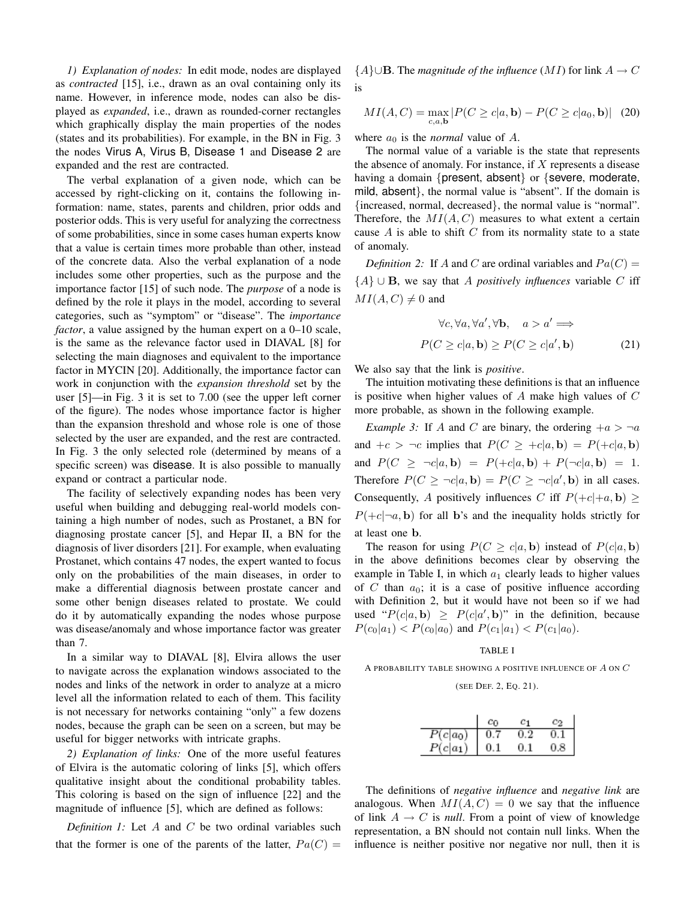*1) Explanation of nodes:* In edit mode, nodes are displayed as *contracted* [15], i.e., drawn as an oval containing only its name. However, in inference mode, nodes can also be displayed as *expanded*, i.e., drawn as rounded-corner rectangles which graphically display the main properties of the nodes (states and its probabilities). For example, in the BN in Fig. 3 the nodes Virus A, Virus B, Disease 1 and Disease 2 are expanded and the rest are contracted.

The verbal explanation of a given node, which can be accessed by right-clicking on it, contains the following information: name, states, parents and children, prior odds and posterior odds. This is very useful for analyzing the correctness of some probabilities, since in some cases human experts know that a value is certain times more probable than other, instead of the concrete data. Also the verbal explanation of a node includes some other properties, such as the purpose and the importance factor [15] of such node. The *purpose* of a node is defined by the role it plays in the model, according to several categories, such as "symptom" or "disease". The *importance factor*, a value assigned by the human expert on a 0–10 scale, is the same as the relevance factor used in DIAVAL [8] for selecting the main diagnoses and equivalent to the importance factor in MYCIN [20]. Additionally, the importance factor can work in conjunction with the *expansion threshold* set by the user [5]—in Fig. 3 it is set to 7.00 (see the upper left corner of the figure). The nodes whose importance factor is higher than the expansion threshold and whose role is one of those selected by the user are expanded, and the rest are contracted. In Fig. 3 the only selected role (determined by means of a specific screen) was disease. It is also possible to manually expand or contract a particular node.

The facility of selectively expanding nodes has been very useful when building and debugging real-world models containing a high number of nodes, such as Prostanet, a BN for diagnosing prostate cancer [5], and Hepar II, a BN for the diagnosis of liver disorders [21]. For example, when evaluating Prostanet, which contains 47 nodes, the expert wanted to focus only on the probabilities of the main diseases, in order to make a differential diagnosis between prostate cancer and some other benign diseases related to prostate. We could do it by automatically expanding the nodes whose purpose was disease/anomaly and whose importance factor was greater than 7.

In a similar way to DIAVAL [8], Elvira allows the user to navigate across the explanation windows associated to the nodes and links of the network in order to analyze at a micro level all the information related to each of them. This facility is not necessary for networks containing "only" a few dozens nodes, because the graph can be seen on a screen, but may be useful for bigger networks with intricate graphs.

*2) Explanation of links:* One of the more useful features of Elvira is the automatic coloring of links [5], which offers qualitative insight about the conditional probability tables. This coloring is based on the sign of influence [22] and the magnitude of influence [5], which are defined as follows:

*Definition 1:* Let A and C be two ordinal variables such that the former is one of the parents of the latter,  $Pa(C)$  =

 ${A\}$ ∪**B**. The *magnitude of the influence* (*MI*) for link  $A \to C$ is

$$
MI(A, C) = \max_{c, a, \mathbf{b}} |P(C \ge c | a, \mathbf{b}) - P(C \ge c | a_0, \mathbf{b})| \quad (20)
$$

where  $a_0$  is the *normal* value of  $A$ .

The normal value of a variable is the state that represents the absence of anomaly. For instance, if  $X$  represents a disease having a domain {present, absent} or {severe, moderate, mild, absent}, the normal value is "absent". If the domain is {increased, normal, decreased}, the normal value is "normal". Therefore, the  $MI(A, C)$  measures to what extent a certain cause  $A$  is able to shift  $C$  from its normality state to a state of anomaly.

*Definition 2:* If A and C are ordinal variables and  $Pa(C)$  = {A} ∪ B, we say that A *positively influences* variable C iff  $MI(A, C) \neq 0$  and

$$
\forall c, \forall a, \forall a', \forall b, \quad a > a' \Longrightarrow
$$

$$
P(C \ge c|a, \mathbf{b}) \ge P(C \ge c|a', \mathbf{b}) \tag{21}
$$

We also say that the link is *positive*.

The intuition motivating these definitions is that an influence is positive when higher values of  $A$  make high values of  $C$ more probable, as shown in the following example.

*Example 3:* If A and C are binary, the ordering  $+a > \neg a$ and  $+c > \neg c$  implies that  $P(C \geq +c|a, b) = P(+c|a, b)$ and  $P(C \geq \neg c|a, \mathbf{b}) = P(+c|a, \mathbf{b}) + P(\neg c|a, \mathbf{b}) = 1.$ Therefore  $P(C \geq \neg c | a, \mathbf{b}) = P(C \geq \neg c | a', \mathbf{b})$  in all cases. Consequently, A positively influences C iff  $P(+c|+a, \mathbf{b}) \geq$  $P(+c|\neg a, b)$  for all b's and the inequality holds strictly for at least one b.

The reason for using  $P(C \geq c | a, b)$  instead of  $P(c | a, b)$ in the above definitions becomes clear by observing the example in Table I, in which  $a_1$  clearly leads to higher values of  $C$  than  $a_0$ ; it is a case of positive influence according with Definition 2, but it would have not been so if we had used " $P(c|a, b) \geq P(c|a', b)$ " in the definition, because  $P(c_0|a_1) < P(c_0|a_0)$  and  $P(c_1|a_1) < P(c_1|a_0)$ .

#### TABLE I

A PROBABILITY TABLE SHOWING A POSITIVE INFLUENCE OF  $A$  ON  $\cal C$ 

#### (SEE DEF. 2, EQ. 21).

|            | Сo  |     |     |
|------------|-----|-----|-----|
| $P(c a_0)$ |     |     |     |
| $P(c a_1)$ | 0.1 | O 1 | 0.8 |

The definitions of *negative influence* and *negative link* are analogous. When  $MI(A, C) = 0$  we say that the influence of link  $A \rightarrow C$  is *null*. From a point of view of knowledge representation, a BN should not contain null links. When the influence is neither positive nor negative nor null, then it is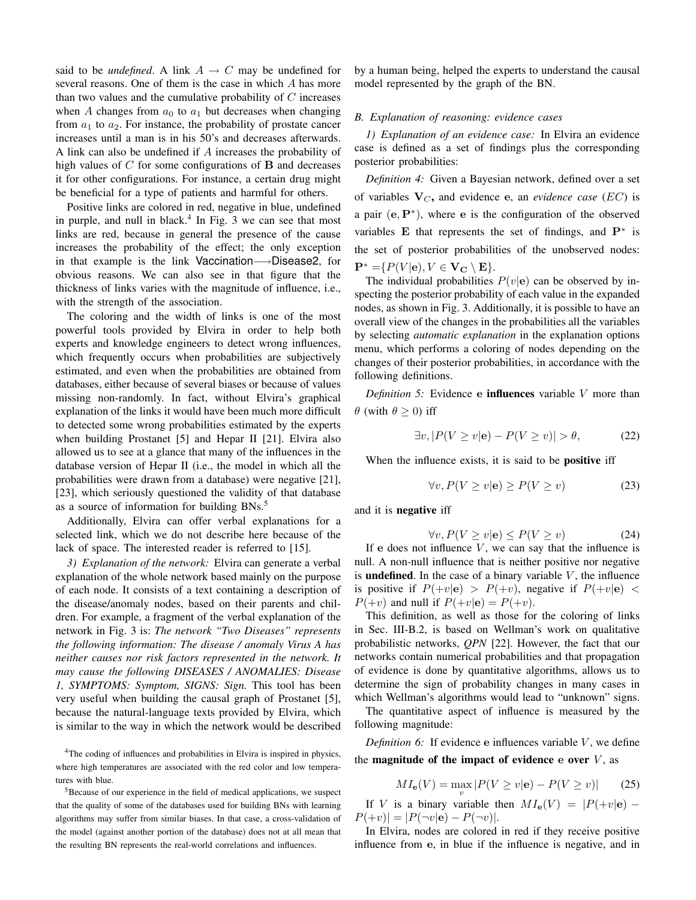said to be *undefined*. A link  $A \rightarrow C$  may be undefined for several reasons. One of them is the case in which A has more than two values and the cumulative probability of  $C$  increases when A changes from  $a_0$  to  $a_1$  but decreases when changing from  $a_1$  to  $a_2$ . For instance, the probability of prostate cancer increases until a man is in his 50's and decreases afterwards. A link can also be undefined if A increases the probability of high values of  $C$  for some configurations of  $B$  and decreases it for other configurations. For instance, a certain drug might be beneficial for a type of patients and harmful for others.

Positive links are colored in red, negative in blue, undefined in purple, and null in black.<sup>4</sup> In Fig. 3 we can see that most links are red, because in general the presence of the cause increases the probability of the effect; the only exception in that example is the link Vaccination—→Disease2, for obvious reasons. We can also see in that figure that the thickness of links varies with the magnitude of influence, i.e., with the strength of the association.

The coloring and the width of links is one of the most powerful tools provided by Elvira in order to help both experts and knowledge engineers to detect wrong influences, which frequently occurs when probabilities are subjectively estimated, and even when the probabilities are obtained from databases, either because of several biases or because of values missing non-randomly. In fact, without Elvira's graphical explanation of the links it would have been much more difficult to detected some wrong probabilities estimated by the experts when building Prostanet [5] and Hepar II [21]. Elvira also allowed us to see at a glance that many of the influences in the database version of Hepar II (i.e., the model in which all the probabilities were drawn from a database) were negative [21], [23], which seriously questioned the validity of that database as a source of information for building BNs.<sup>5</sup>

Additionally, Elvira can offer verbal explanations for a selected link, which we do not describe here because of the lack of space. The interested reader is referred to [15].

*3) Explanation of the network:* Elvira can generate a verbal explanation of the whole network based mainly on the purpose of each node. It consists of a text containing a description of the disease/anomaly nodes, based on their parents and children. For example, a fragment of the verbal explanation of the network in Fig. 3 is: *The network "Two Diseases" represents the following information: The disease / anomaly Virus A has neither causes nor risk factors represented in the network. It may cause the following DISEASES / ANOMALIES: Disease 1, SYMPTOMS: Symptom, SIGNS: Sign.* This tool has been very useful when building the causal graph of Prostanet [5], because the natural-language texts provided by Elvira, which is similar to the way in which the network would be described

<sup>4</sup>The coding of influences and probabilities in Elvira is inspired in physics, where high temperatures are associated with the red color and low temperatures with blue.

<sup>5</sup>Because of our experience in the field of medical applications, we suspect that the quality of some of the databases used for building BNs with learning algorithms may suffer from similar biases. In that case, a cross-validation of the model (against another portion of the database) does not at all mean that the resulting BN represents the real-world correlations and influences.

by a human being, helped the experts to understand the causal model represented by the graph of the BN.

# *B. Explanation of reasoning: evidence cases*

*1) Explanation of an evidence case:* In Elvira an evidence case is defined as a set of findings plus the corresponding posterior probabilities:

*Definition 4:* Given a Bayesian network, defined over a set of variables  $V_C$ , and evidence e, an *evidence case* (*EC*) is a pair  $(e, P^*)$ , where e is the configuration of the observed variables  $E$  that represents the set of findings, and  $P^*$  is the set of posterior probabilities of the unobserved nodes:  $\mathbf{P}^* = \{P(V | \mathbf{e}), V \in \mathbf{V_C} \setminus \mathbf{E}\}.$ 

The individual probabilities  $P(v|\mathbf{e})$  can be observed by inspecting the posterior probability of each value in the expanded nodes, as shown in Fig. 3. Additionally, it is possible to have an overall view of the changes in the probabilities all the variables by selecting *automatic explanation* in the explanation options menu, which performs a coloring of nodes depending on the changes of their posterior probabilities, in accordance with the following definitions.

*Definition 5:* Evidence e influences variable V more than  $\theta$  (with  $\theta > 0$ ) iff

$$
\exists v, |P(V \ge v | \mathbf{e}) - P(V \ge v)| > \theta,\tag{22}
$$

When the influence exists, it is said to be **positive** iff

$$
\forall v, P(V \ge v | \mathbf{e}) \ge P(V \ge v)
$$
 (23)

and it is negative iff

$$
\forall v, P(V \ge v | \mathbf{e}) \le P(V \ge v) \tag{24}
$$

If e does not influence  $V$ , we can say that the influence is null. A non-null influence that is neither positive nor negative is **undefined**. In the case of a binary variable  $V$ , the influence is positive if  $P(+v|e) > P(+v)$ , negative if  $P(+v|e) <$  $P(+v)$  and null if  $P(+v|\mathbf{e}) = P(+v)$ .

This definition, as well as those for the coloring of links in Sec. III-B.2, is based on Wellman's work on qualitative probabilistic networks, *QPN* [22]. However, the fact that our networks contain numerical probabilities and that propagation of evidence is done by quantitative algorithms, allows us to determine the sign of probability changes in many cases in which Wellman's algorithms would lead to "unknown" signs.

The quantitative aspect of influence is measured by the following magnitude:

*Definition 6:* If evidence  $e$  influences variable  $V$ , we define the **magnitude** of the impact of evidence  $\mathbf{e}$  over  $V$ , as

$$
MI_{\mathbf{e}}(V) = \max_{v} |P(V \ge v|\mathbf{e}) - P(V \ge v)| \qquad (25)
$$

If V is a binary variable then  $MI_e(V) = |P(+v|e) P(+v)| = |P(\neg v|\mathbf{e}) - P(\neg v)|.$ 

In Elvira, nodes are colored in red if they receive positive influence from e, in blue if the influence is negative, and in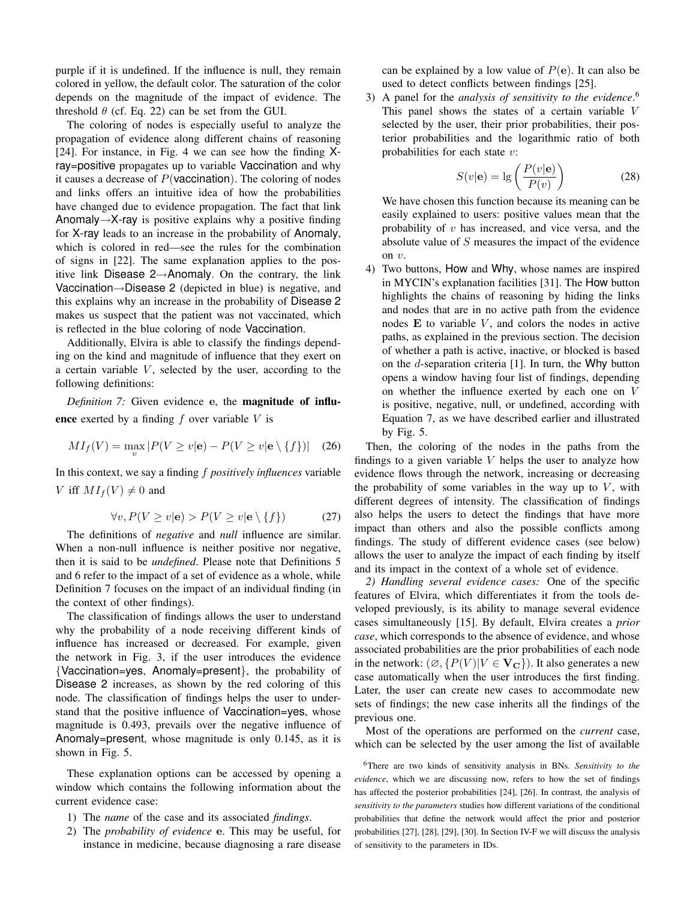purple if it is undefined. If the influence is null, they remain colored in yellow, the default color. The saturation of the color depends on the magnitude of the impact of evidence. The threshold  $\theta$  (cf. Eq. 22) can be set from the GUI.

The coloring of nodes is especially useful to analyze the propagation of evidence along different chains of reasoning [24]. For instance, in Fig. 4 we can see how the finding Xray=positive propagates up to variable Vaccination and why it causes a decrease of  $P$ (vaccination). The coloring of nodes and links offers an intuitive idea of how the probabilities have changed due to evidence propagation. The fact that link Anomaly $\rightarrow$ X-ray is positive explains why a positive finding for X-ray leads to an increase in the probability of Anomaly, which is colored in red—see the rules for the combination of signs in [22]. The same explanation applies to the positive link Disease 2→Anomaly. On the contrary, the link Vaccination→Disease 2 (depicted in blue) is negative, and this explains why an increase in the probability of Disease 2 makes us suspect that the patient was not vaccinated, which is reflected in the blue coloring of node Vaccination.

Additionally, Elvira is able to classify the findings depending on the kind and magnitude of influence that they exert on a certain variable  $V$ , selected by the user, according to the following definitions:

*Definition 7:* Given evidence e, the magnitude of influence exerted by a finding  $f$  over variable  $V$  is

$$
MI_f(V) = \max_v |P(V \ge v|\mathbf{e}) - P(V \ge v|\mathbf{e} \setminus \{f\})| \quad (26)
$$

In this context, we say a finding f *positively influences* variable V iff  $MI_f(V) \neq 0$  and

$$
\forall v, P(V \ge v | \mathbf{e}) > P(V \ge v | \mathbf{e} \setminus \{f\}) \tag{27}
$$

The definitions of *negative* and *null* influence are similar. When a non-null influence is neither positive nor negative, then it is said to be *undefined*. Please note that Definitions 5 and 6 refer to the impact of a set of evidence as a whole, while Definition 7 focuses on the impact of an individual finding (in the context of other findings).

The classification of findings allows the user to understand why the probability of a node receiving different kinds of influence has increased or decreased. For example, given the network in Fig. 3, if the user introduces the evidence {Vaccination=yes, Anomaly=present}, the probability of Disease 2 increases, as shown by the red coloring of this node. The classification of findings helps the user to understand that the positive influence of Vaccination=yes, whose magnitude is 0.493, prevails over the negative influence of Anomaly=present, whose magnitude is only 0.145, as it is shown in Fig. 5.

These explanation options can be accessed by opening a window which contains the following information about the current evidence case:

- 1) The *name* of the case and its associated *findings*.
- 2) The *probability of evidence* e. This may be useful, for instance in medicine, because diagnosing a rare disease

can be explained by a low value of  $P(e)$ . It can also be used to detect conflicts between findings [25].

3) A panel for the *analysis of sensitivity to the evidence*. 6 This panel shows the states of a certain variable V selected by the user, their prior probabilities, their posterior probabilities and the logarithmic ratio of both probabilities for each state v:

$$
S(v|\mathbf{e}) = \lg\left(\frac{P(v|\mathbf{e})}{P(v)}\right)
$$
 (28)

We have chosen this function because its meaning can be easily explained to users: positive values mean that the probability of  $v$  has increased, and vice versa, and the absolute value of S measures the impact of the evidence on  $v$ .

4) Two buttons, How and Why, whose names are inspired in MYCIN's explanation facilities [31]. The How button highlights the chains of reasoning by hiding the links and nodes that are in no active path from the evidence nodes  $E$  to variable  $V$ , and colors the nodes in active paths, as explained in the previous section. The decision of whether a path is active, inactive, or blocked is based on the d-separation criteria [1]. In turn, the Why button opens a window having four list of findings, depending on whether the influence exerted by each one on V is positive, negative, null, or undefined, according with Equation 7, as we have described earlier and illustrated by Fig. 5.

Then, the coloring of the nodes in the paths from the findings to a given variable  $V$  helps the user to analyze how evidence flows through the network, increasing or decreasing the probability of some variables in the way up to  $V$ , with different degrees of intensity. The classification of findings also helps the users to detect the findings that have more impact than others and also the possible conflicts among findings. The study of different evidence cases (see below) allows the user to analyze the impact of each finding by itself and its impact in the context of a whole set of evidence.

*2) Handling several evidence cases:* One of the specific features of Elvira, which differentiates it from the tools developed previously, is its ability to manage several evidence cases simultaneously [15]. By default, Elvira creates a *prior case*, which corresponds to the absence of evidence, and whose associated probabilities are the prior probabilities of each node in the network:  $(\emptyset, \{P(V) | V \in \mathbf{V_C}\})$ . It also generates a new case automatically when the user introduces the first finding. Later, the user can create new cases to accommodate new sets of findings; the new case inherits all the findings of the previous one.

Most of the operations are performed on the *current* case, which can be selected by the user among the list of available

<sup>6</sup>There are two kinds of sensitivity analysis in BNs. *Sensitivity to the evidence*, which we are discussing now, refers to how the set of findings has affected the posterior probabilities [24], [26]. In contrast, the analysis of *sensitivity to the parameters* studies how different variations of the conditional probabilities that define the network would affect the prior and posterior probabilities [27], [28], [29], [30]. In Section IV-F we will discuss the analysis of sensitivity to the parameters in IDs.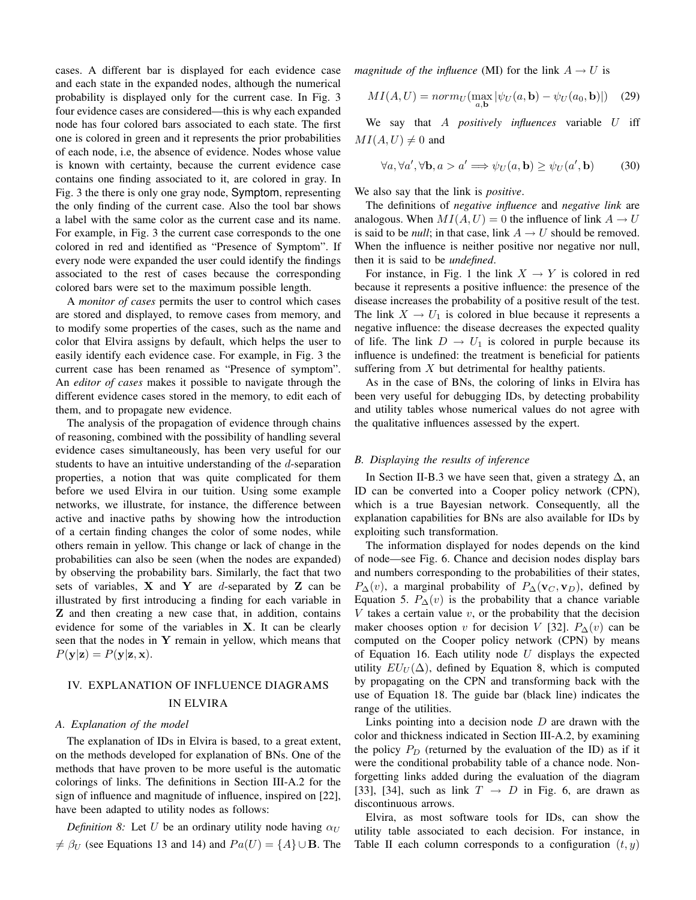cases. A different bar is displayed for each evidence case and each state in the expanded nodes, although the numerical probability is displayed only for the current case. In Fig. 3 four evidence cases are considered—this is why each expanded node has four colored bars associated to each state. The first one is colored in green and it represents the prior probabilities of each node, i.e, the absence of evidence. Nodes whose value is known with certainty, because the current evidence case contains one finding associated to it, are colored in gray. In Fig. 3 the there is only one gray node, Symptom, representing the only finding of the current case. Also the tool bar shows a label with the same color as the current case and its name. For example, in Fig. 3 the current case corresponds to the one colored in red and identified as "Presence of Symptom". If every node were expanded the user could identify the findings associated to the rest of cases because the corresponding colored bars were set to the maximum possible length.

A *monitor of cases* permits the user to control which cases are stored and displayed, to remove cases from memory, and to modify some properties of the cases, such as the name and color that Elvira assigns by default, which helps the user to easily identify each evidence case. For example, in Fig. 3 the current case has been renamed as "Presence of symptom". An *editor of cases* makes it possible to navigate through the different evidence cases stored in the memory, to edit each of them, and to propagate new evidence.

The analysis of the propagation of evidence through chains of reasoning, combined with the possibility of handling several evidence cases simultaneously, has been very useful for our students to have an intuitive understanding of the d-separation properties, a notion that was quite complicated for them before we used Elvira in our tuition. Using some example networks, we illustrate, for instance, the difference between active and inactive paths by showing how the introduction of a certain finding changes the color of some nodes, while others remain in yellow. This change or lack of change in the probabilities can also be seen (when the nodes are expanded) by observing the probability bars. Similarly, the fact that two sets of variables,  $X$  and  $Y$  are d-separated by  $Z$  can be illustrated by first introducing a finding for each variable in Z and then creating a new case that, in addition, contains evidence for some of the variables in  $X$ . It can be clearly seen that the nodes in Y remain in yellow, which means that  $P(\mathbf{y}|\mathbf{z}) = P(\mathbf{y}|\mathbf{z}, \mathbf{x}).$ 

# IV. EXPLANATION OF INFLUENCE DIAGRAMS IN ELVIRA

#### *A. Explanation of the model*

The explanation of IDs in Elvira is based, to a great extent, on the methods developed for explanation of BNs. One of the methods that have proven to be more useful is the automatic colorings of links. The definitions in Section III-A.2 for the sign of influence and magnitude of influence, inspired on [22], have been adapted to utility nodes as follows:

*Definition 8:* Let U be an ordinary utility node having  $\alpha_U$  $\neq \beta_U$  (see Equations 13 and 14) and  $Pa(U) = \{A\} \cup B$ . The *magnitude of the influence* (MI) for the link  $A \rightarrow U$  is

$$
MI(A, U) = norm_U(\max_{a, \mathbf{b}} |\psi_U(a, \mathbf{b}) - \psi_U(a_0, \mathbf{b})|) \quad (29)
$$

We say that A *positively influences* variable U iff  $MI(A, U) \neq 0$  and

$$
\forall a, \forall a', \forall \mathbf{b}, a > a' \Longrightarrow \psi_U(a, \mathbf{b}) \ge \psi_U(a', \mathbf{b}) \tag{30}
$$

We also say that the link is *positive*.

The definitions of *negative influence* and *negative link* are analogous. When  $MI(A, U) = 0$  the influence of link  $A \rightarrow U$ is said to be *null*; in that case, link  $A \rightarrow U$  should be removed. When the influence is neither positive nor negative nor null, then it is said to be *undefined*.

For instance, in Fig. 1 the link  $X \to Y$  is colored in red because it represents a positive influence: the presence of the disease increases the probability of a positive result of the test. The link  $X \to U_1$  is colored in blue because it represents a negative influence: the disease decreases the expected quality of life. The link  $D \to U_1$  is colored in purple because its influence is undefined: the treatment is beneficial for patients suffering from  $X$  but detrimental for healthy patients.

As in the case of BNs, the coloring of links in Elvira has been very useful for debugging IDs, by detecting probability and utility tables whose numerical values do not agree with the qualitative influences assessed by the expert.

# *B. Displaying the results of inference*

In Section II-B.3 we have seen that, given a strategy  $\Delta$ , an ID can be converted into a Cooper policy network (CPN), which is a true Bayesian network. Consequently, all the explanation capabilities for BNs are also available for IDs by exploiting such transformation.

The information displayed for nodes depends on the kind of node—see Fig. 6. Chance and decision nodes display bars and numbers corresponding to the probabilities of their states,  $P_{\Delta}(v)$ , a marginal probability of  $P_{\Delta}(\mathbf{v}_C, \mathbf{v}_D)$ , defined by Equation 5.  $P_{\Delta}(v)$  is the probability that a chance variable  $V$  takes a certain value  $v$ , or the probability that the decision maker chooses option v for decision V [32].  $P_{\Delta}(v)$  can be computed on the Cooper policy network (CPN) by means of Equation 16. Each utility node  $U$  displays the expected utility  $EU_U(\Delta)$ , defined by Equation 8, which is computed by propagating on the CPN and transforming back with the use of Equation 18. The guide bar (black line) indicates the range of the utilities.

Links pointing into a decision node  $D$  are drawn with the color and thickness indicated in Section III-A.2, by examining the policy  $P_D$  (returned by the evaluation of the ID) as if it were the conditional probability table of a chance node. Nonforgetting links added during the evaluation of the diagram [33], [34], such as link  $T \rightarrow D$  in Fig. 6, are drawn as discontinuous arrows.

Elvira, as most software tools for IDs, can show the utility table associated to each decision. For instance, in Table II each column corresponds to a configuration  $(t, y)$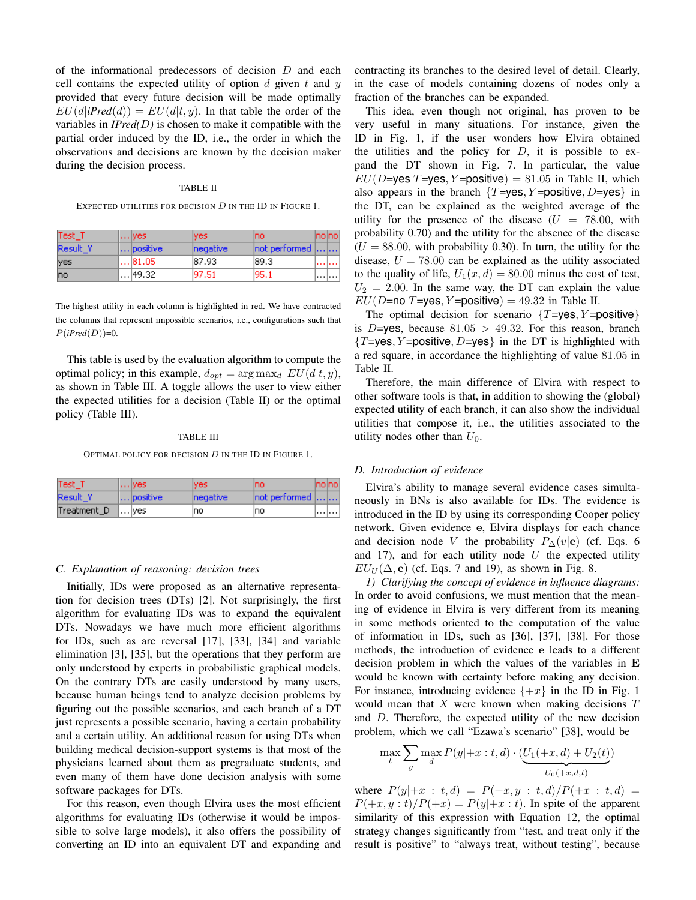of the informational predecessors of decision D and each cell contains the expected utility of option  $d$  given  $t$  and  $y$ provided that every future decision will be made optimally  $EU(d|iPred(d)) = EU(d|t, y)$ . In that table the order of the variables in  $IPred(D)$  is chosen to make it compatible with the partial order induced by the ID, i.e., the order in which the observations and decisions are known by the decision maker during the decision process.

#### TABLE II

EXPECTED UTILITIES FOR DECISION  $D$  in the ID in Figure 1.

| Test T   | $\ldots$ yes  | ives.            | Ino.                  | Inolnol         |
|----------|---------------|------------------|-----------------------|-----------------|
| Result Y | positive      | <b>Inegative</b> | $[not$ performed $[]$ |                 |
| lyes     | $\dots$ 81.05 | 187.93           | 189.3                 | <b>CONTRACT</b> |
| Ino      | 49.32         | 197.51           | 195.1                 | .               |

The highest utility in each column is highlighted in red. We have contracted the columns that represent impossible scenarios, i.e., configurations such that  $P(iPred(D))=0.$ 

This table is used by the evaluation algorithm to compute the optimal policy; in this example,  $d_{opt} = \arg \max_d EU(d|t, y)$ , as shown in Table III. A toggle allows the user to view either the expected utilities for a decision (Table II) or the optimal policy (Table III).

#### TABLE III

OPTIMAL POLICY FOR DECISION  $D$  in the ID in Figure 1.

| Test T      | $\ldots$ yes. | ives.            | mo.                    | ino ino |
|-------------|---------------|------------------|------------------------|---------|
| Result Y    | positive      | <b>Inegative</b> | $ not$ performed $   $ |         |
| Treatment D | l…lyes.       | Ino              | Ino                    |         |

#### *C. Explanation of reasoning: decision trees*

Initially, IDs were proposed as an alternative representation for decision trees (DTs) [2]. Not surprisingly, the first algorithm for evaluating IDs was to expand the equivalent DTs. Nowadays we have much more efficient algorithms for IDs, such as arc reversal [17], [33], [34] and variable elimination [3], [35], but the operations that they perform are only understood by experts in probabilistic graphical models. On the contrary DTs are easily understood by many users, because human beings tend to analyze decision problems by figuring out the possible scenarios, and each branch of a DT just represents a possible scenario, having a certain probability and a certain utility. An additional reason for using DTs when building medical decision-support systems is that most of the physicians learned about them as pregraduate students, and even many of them have done decision analysis with some software packages for DTs.

For this reason, even though Elvira uses the most efficient algorithms for evaluating IDs (otherwise it would be impossible to solve large models), it also offers the possibility of converting an ID into an equivalent DT and expanding and contracting its branches to the desired level of detail. Clearly, in the case of models containing dozens of nodes only a fraction of the branches can be expanded.

This idea, even though not original, has proven to be very useful in many situations. For instance, given the ID in Fig. 1, if the user wonders how Elvira obtained the utilities and the policy for  $D$ , it is possible to expand the DT shown in Fig. 7. In particular, the value  $EU(D=yes|T=yes, Y=positive) = 81.05$  in Table II, which also appears in the branch  $\{T=\text{yes}, Y=\text{positive}, D=\text{yes}\}\$ in the DT, can be explained as the weighted average of the utility for the presence of the disease  $(U = 78.00, \text{ with}$ probability 0.70) and the utility for the absence of the disease  $(U = 88.00$ , with probability 0.30). In turn, the utility for the disease,  $U = 78.00$  can be explained as the utility associated to the quality of life,  $U_1(x, d) = 80.00$  minus the cost of test,  $U_2 = 2.00$ . In the same way, the DT can explain the value  $EU(D=no|T=yes, Y=positive) = 49.32$  in Table II.

The optimal decision for scenario  $\{T=\text{ves}, Y=\text{positive}\}\$ is D=yes, because  $81.05 > 49.32$ . For this reason, branch  ${T=yes, Y=positive, D=yes}$  in the DT is highlighted with a red square, in accordance the highlighting of value 81.05 in Table II.

Therefore, the main difference of Elvira with respect to other software tools is that, in addition to showing the (global) expected utility of each branch, it can also show the individual utilities that compose it, i.e., the utilities associated to the utility nodes other than  $U_0$ .

#### *D. Introduction of evidence*

Elvira's ability to manage several evidence cases simultaneously in BNs is also available for IDs. The evidence is introduced in the ID by using its corresponding Cooper policy network. Given evidence e, Elvira displays for each chance and decision node V the probability  $P_{\Delta}(v|\mathbf{e})$  (cf. Eqs. 6 and 17), and for each utility node  $U$  the expected utility  $EU_U(\Delta, e)$  (cf. Eqs. 7 and 19), as shown in Fig. 8.

*1) Clarifying the concept of evidence in influence diagrams:* In order to avoid confusions, we must mention that the meaning of evidence in Elvira is very different from its meaning in some methods oriented to the computation of the value of information in IDs, such as [36], [37], [38]. For those methods, the introduction of evidence e leads to a different decision problem in which the values of the variables in E would be known with certainty before making any decision. For instance, introducing evidence  $\{+x\}$  in the ID in Fig. 1 would mean that  $X$  were known when making decisions  $T$ and D. Therefore, the expected utility of the new decision problem, which we call "Ezawa's scenario" [38], would be

$$
\max_{t} \sum_{y} \max_{d} P(y | +x:t, d) \cdot (\underbrace{U_1(+x, d) + U_2(t)}_{U_0(+x, d,t)})
$$

where  $P(y|+x : t, d) = P(+x, y : t, d)/P(+x : t, d) =$  $P(\pm x, y : t)/P(\pm x) = P(y|\pm x : t)$ . In spite of the apparent similarity of this expression with Equation 12, the optimal strategy changes significantly from "test, and treat only if the result is positive" to "always treat, without testing", because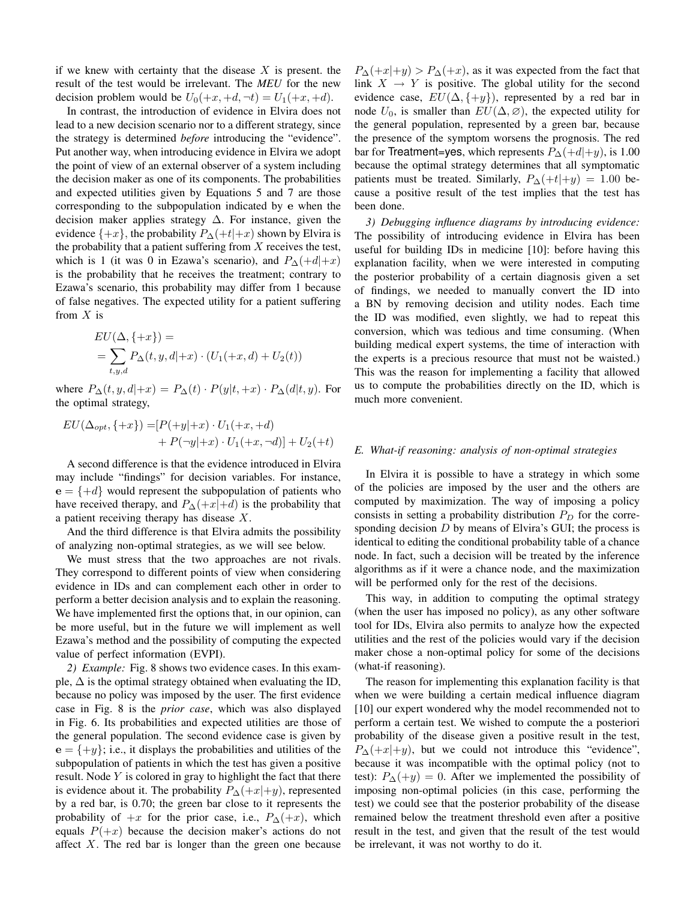if we knew with certainty that the disease  $X$  is present. the result of the test would be irrelevant. The *MEU* for the new decision problem would be  $U_0(+x, +d, \neg t) = U_1(+x, +d)$ .

In contrast, the introduction of evidence in Elvira does not lead to a new decision scenario nor to a different strategy, since the strategy is determined *before* introducing the "evidence". Put another way, when introducing evidence in Elvira we adopt the point of view of an external observer of a system including the decision maker as one of its components. The probabilities and expected utilities given by Equations 5 and 7 are those corresponding to the subpopulation indicated by e when the decision maker applies strategy  $\Delta$ . For instance, given the evidence  $\{+x\}$ , the probability  $P_{\Delta}(+t|+x)$  shown by Elvira is the probability that a patient suffering from  $X$  receives the test, which is 1 (it was 0 in Ezawa's scenario), and  $P_{\Delta}(+d|+x)$ is the probability that he receives the treatment; contrary to Ezawa's scenario, this probability may differ from 1 because of false negatives. The expected utility for a patient suffering from  $X$  is

$$
EU(\Delta, \{+x\}) =
$$
  
=  $\sum_{t,y,d} P_{\Delta}(t, y, d|+x) \cdot (U_1(+x, d) + U_2(t))$ 

where  $P_{\Delta}(t, y, d|+x) = P_{\Delta}(t) \cdot P(y|t, +x) \cdot P_{\Delta}(d|t, y)$ . For the optimal strategy,

$$
EU(\Delta_{opt}, \{+x\}) = [P(+y|+x) \cdot U_1(+x, +d)+ P(\neg y|+x) \cdot U_1(+x, \neg d)] + U_2(+t)
$$

A second difference is that the evidence introduced in Elvira may include "findings" for decision variables. For instance,  $e = \{+d\}$  would represent the subpopulation of patients who have received therapy, and  $P_{\Delta}(+x|+d)$  is the probability that a patient receiving therapy has disease X.

And the third difference is that Elvira admits the possibility of analyzing non-optimal strategies, as we will see below.

We must stress that the two approaches are not rivals. They correspond to different points of view when considering evidence in IDs and can complement each other in order to perform a better decision analysis and to explain the reasoning. We have implemented first the options that, in our opinion, can be more useful, but in the future we will implement as well Ezawa's method and the possibility of computing the expected value of perfect information (EVPI).

*2) Example:* Fig. 8 shows two evidence cases. In this example,  $\Delta$  is the optimal strategy obtained when evaluating the ID, because no policy was imposed by the user. The first evidence case in Fig. 8 is the *prior case*, which was also displayed in Fig. 6. Its probabilities and expected utilities are those of the general population. The second evidence case is given by  $e = \{+y\}$ ; i.e., it displays the probabilities and utilities of the subpopulation of patients in which the test has given a positive result. Node  $Y$  is colored in gray to highlight the fact that there is evidence about it. The probability  $P_{\Delta}(+x|+y)$ , represented by a red bar, is 0.70; the green bar close to it represents the probability of  $+x$  for the prior case, i.e.,  $P_{\Delta}(+x)$ , which equals  $P(+x)$  because the decision maker's actions do not affect  $X$ . The red bar is longer than the green one because  $P_{\Delta}(+x|+y) > P_{\Delta}(+x)$ , as it was expected from the fact that link  $X \rightarrow Y$  is positive. The global utility for the second evidence case,  $EU(\Delta, \{+y\})$ , represented by a red bar in node  $U_0$ , is smaller than  $EU(\Delta, \emptyset)$ , the expected utility for the general population, represented by a green bar, because the presence of the symptom worsens the prognosis. The red bar for Treatment=yes, which represents  $P_{\Delta}(+d|+y)$ , is 1.00 because the optimal strategy determines that all symptomatic patients must be treated. Similarly,  $P_{\Delta}(+t|+y) = 1.00$  because a positive result of the test implies that the test has been done.

*3) Debugging influence diagrams by introducing evidence:* The possibility of introducing evidence in Elvira has been useful for building IDs in medicine [10]: before having this explanation facility, when we were interested in computing the posterior probability of a certain diagnosis given a set of findings, we needed to manually convert the ID into a BN by removing decision and utility nodes. Each time the ID was modified, even slightly, we had to repeat this conversion, which was tedious and time consuming. (When building medical expert systems, the time of interaction with the experts is a precious resource that must not be waisted.) This was the reason for implementing a facility that allowed us to compute the probabilities directly on the ID, which is much more convenient.

# *E. What-if reasoning: analysis of non-optimal strategies*

In Elvira it is possible to have a strategy in which some of the policies are imposed by the user and the others are computed by maximization. The way of imposing a policy consists in setting a probability distribution  $P_D$  for the corresponding decision  $D$  by means of Elvira's GUI; the process is identical to editing the conditional probability table of a chance node. In fact, such a decision will be treated by the inference algorithms as if it were a chance node, and the maximization will be performed only for the rest of the decisions.

This way, in addition to computing the optimal strategy (when the user has imposed no policy), as any other software tool for IDs, Elvira also permits to analyze how the expected utilities and the rest of the policies would vary if the decision maker chose a non-optimal policy for some of the decisions (what-if reasoning).

The reason for implementing this explanation facility is that when we were building a certain medical influence diagram [10] our expert wondered why the model recommended not to perform a certain test. We wished to compute the a posteriori probability of the disease given a positive result in the test,  $P_{\Delta}(+x|+y)$ , but we could not introduce this "evidence", because it was incompatible with the optimal policy (not to test):  $P_{\Delta}(+y) = 0$ . After we implemented the possibility of imposing non-optimal policies (in this case, performing the test) we could see that the posterior probability of the disease remained below the treatment threshold even after a positive result in the test, and given that the result of the test would be irrelevant, it was not worthy to do it.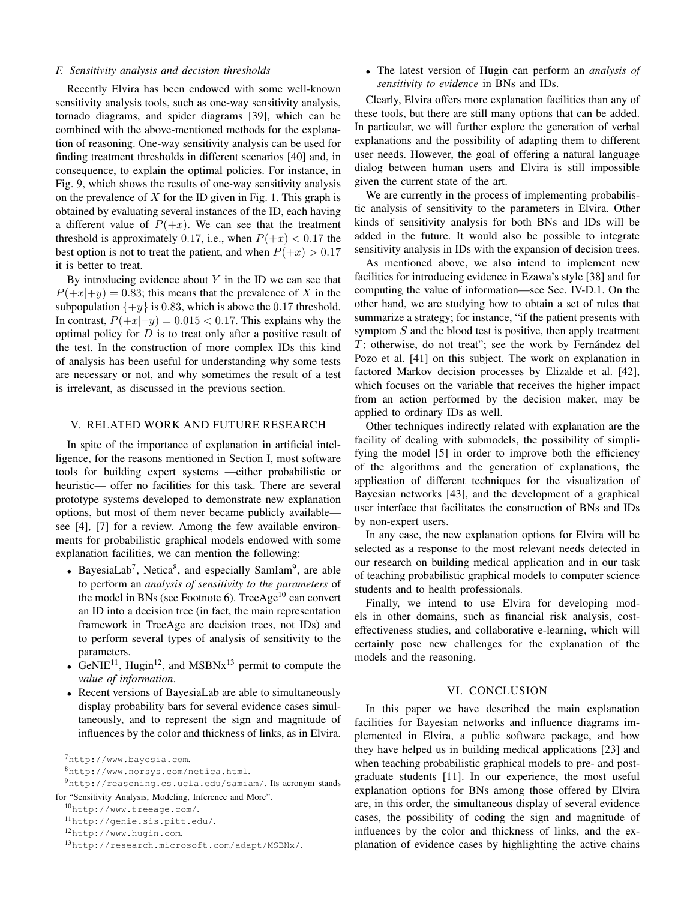#### *F. Sensitivity analysis and decision thresholds*

Recently Elvira has been endowed with some well-known sensitivity analysis tools, such as one-way sensitivity analysis, tornado diagrams, and spider diagrams [39], which can be combined with the above-mentioned methods for the explanation of reasoning. One-way sensitivity analysis can be used for finding treatment thresholds in different scenarios [40] and, in consequence, to explain the optimal policies. For instance, in Fig. 9, which shows the results of one-way sensitivity analysis on the prevalence of  $X$  for the ID given in Fig. 1. This graph is obtained by evaluating several instances of the ID, each having a different value of  $P(+x)$ . We can see that the treatment threshold is approximately 0.17, i.e., when  $P(+x) < 0.17$  the best option is not to treat the patient, and when  $P(+x) > 0.17$ it is better to treat.

By introducing evidence about  $Y$  in the ID we can see that  $P(+x|+y) = 0.83$ ; this means that the prevalence of X in the subpopulation  $\{+y\}$  is 0.83, which is above the 0.17 threshold. In contrast,  $P(+x|\neg y) = 0.015 < 0.17$ . This explains why the optimal policy for  $D$  is to treat only after a positive result of the test. In the construction of more complex IDs this kind of analysis has been useful for understanding why some tests are necessary or not, and why sometimes the result of a test is irrelevant, as discussed in the previous section.

# V. RELATED WORK AND FUTURE RESEARCH

In spite of the importance of explanation in artificial intelligence, for the reasons mentioned in Section I, most software tools for building expert systems —either probabilistic or heuristic— offer no facilities for this task. There are several prototype systems developed to demonstrate new explanation options, but most of them never became publicly available see [4], [7] for a review. Among the few available environments for probabilistic graphical models endowed with some explanation facilities, we can mention the following:

- BayesiaLab<sup>7</sup>, Netica<sup>8</sup>, and especially SamIam<sup>9</sup>, are able to perform an *analysis of sensitivity to the parameters* of the model in BNs (see Footnote 6). TreeAge<sup>10</sup> can convert an ID into a decision tree (in fact, the main representation framework in TreeAge are decision trees, not IDs) and to perform several types of analysis of sensitivity to the parameters.
- GeNIE<sup>11</sup>, Hugin<sup>12</sup>, and MSBNx<sup>13</sup> permit to compute the *value of information*.
- Recent versions of BayesiaLab are able to simultaneously display probability bars for several evidence cases simultaneously, and to represent the sign and magnitude of influences by the color and thickness of links, as in Elvira.

• The latest version of Hugin can perform an *analysis of sensitivity to evidence* in BNs and IDs.

Clearly, Elvira offers more explanation facilities than any of these tools, but there are still many options that can be added. In particular, we will further explore the generation of verbal explanations and the possibility of adapting them to different user needs. However, the goal of offering a natural language dialog between human users and Elvira is still impossible given the current state of the art.

We are currently in the process of implementing probabilistic analysis of sensitivity to the parameters in Elvira. Other kinds of sensitivity analysis for both BNs and IDs will be added in the future. It would also be possible to integrate sensitivity analysis in IDs with the expansion of decision trees.

As mentioned above, we also intend to implement new facilities for introducing evidence in Ezawa's style [38] and for computing the value of information—see Sec. IV-D.1. On the other hand, we are studying how to obtain a set of rules that summarize a strategy; for instance, "if the patient presents with symptom  $S$  and the blood test is positive, then apply treatment  $T$ ; otherwise, do not treat"; see the work by Fernandez del Pozo et al. [41] on this subject. The work on explanation in factored Markov decision processes by Elizalde et al. [42], which focuses on the variable that receives the higher impact from an action performed by the decision maker, may be applied to ordinary IDs as well.

Other techniques indirectly related with explanation are the facility of dealing with submodels, the possibility of simplifying the model [5] in order to improve both the efficiency of the algorithms and the generation of explanations, the application of different techniques for the visualization of Bayesian networks [43], and the development of a graphical user interface that facilitates the construction of BNs and IDs by non-expert users.

In any case, the new explanation options for Elvira will be selected as a response to the most relevant needs detected in our research on building medical application and in our task of teaching probabilistic graphical models to computer science students and to health professionals.

Finally, we intend to use Elvira for developing models in other domains, such as financial risk analysis, costeffectiveness studies, and collaborative e-learning, which will certainly pose new challenges for the explanation of the models and the reasoning.

## VI. CONCLUSION

In this paper we have described the main explanation facilities for Bayesian networks and influence diagrams implemented in Elvira, a public software package, and how they have helped us in building medical applications [23] and when teaching probabilistic graphical models to pre- and postgraduate students [11]. In our experience, the most useful explanation options for BNs among those offered by Elvira are, in this order, the simultaneous display of several evidence cases, the possibility of coding the sign and magnitude of influences by the color and thickness of links, and the explanation of evidence cases by highlighting the active chains

<sup>7</sup>http://www.bayesia.com.

<sup>8</sup>http://www.norsys.com/netica.html.

<sup>9</sup>http://reasoning.cs.ucla.edu/samiam/. Its acronym stands for "Sensitivity Analysis, Modeling, Inference and More".

<sup>10</sup>http://www.treeage.com/.

<sup>11</sup>http://genie.sis.pitt.edu/.

<sup>12</sup>http://www.hugin.com.

<sup>13</sup>http://research.microsoft.com/adapt/MSBNx/.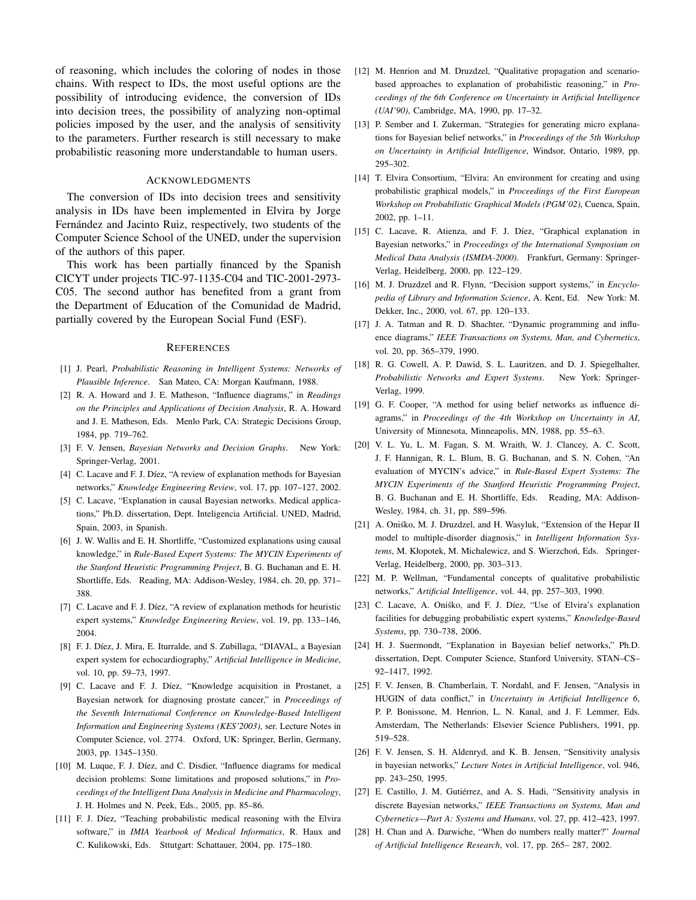of reasoning, which includes the coloring of nodes in those chains. With respect to IDs, the most useful options are the possibility of introducing evidence, the conversion of IDs into decision trees, the possibility of analyzing non-optimal policies imposed by the user, and the analysis of sensitivity to the parameters. Further research is still necessary to make probabilistic reasoning more understandable to human users.

### **ACKNOWLEDGMENTS**

The conversion of IDs into decision trees and sensitivity analysis in IDs have been implemented in Elvira by Jorge Fernández and Jacinto Ruiz, respectively, two students of the Computer Science School of the UNED, under the supervision of the authors of this paper.

This work has been partially financed by the Spanish CICYT under projects TIC-97-1135-C04 and TIC-2001-2973- C05. The second author has benefited from a grant from the Department of Education of the Comunidad de Madrid, partially covered by the European Social Fund (ESF).

#### **REFERENCES**

- [1] J. Pearl, *Probabilistic Reasoning in Intelligent Systems: Networks of Plausible Inference*. San Mateo, CA: Morgan Kaufmann, 1988.
- [2] R. A. Howard and J. E. Matheson, "Influence diagrams," in *Readings on the Principles and Applications of Decision Analysis*, R. A. Howard and J. E. Matheson, Eds. Menlo Park, CA: Strategic Decisions Group, 1984, pp. 719–762.
- [3] F. V. Jensen, *Bayesian Networks and Decision Graphs*. New York: Springer-Verlag, 2001.
- [4] C. Lacave and F. J. Díez, "A review of explanation methods for Bayesian networks," *Knowledge Engineering Review*, vol. 17, pp. 107–127, 2002.
- [5] C. Lacave, "Explanation in causal Bayesian networks. Medical applications," Ph.D. dissertation, Dept. Inteligencia Artificial. UNED, Madrid, Spain, 2003, in Spanish.
- [6] J. W. Wallis and E. H. Shortliffe, "Customized explanations using causal knowledge," in *Rule-Based Expert Systems: The MYCIN Experiments of the Stanford Heuristic Programming Project*, B. G. Buchanan and E. H. Shortliffe, Eds. Reading, MA: Addison-Wesley, 1984, ch. 20, pp. 371– 388.
- [7] C. Lacave and F. J. Díez, "A review of explanation methods for heuristic expert systems," *Knowledge Engineering Review*, vol. 19, pp. 133–146, 2004.
- [8] F. J. Díez, J. Mira, E. Iturralde, and S. Zubillaga, "DIAVAL, a Bayesian expert system for echocardiography," *Artificial Intelligence in Medicine*, vol. 10, pp. 59–73, 1997.
- [9] C. Lacave and F. J. Díez, "Knowledge acquisition in Prostanet, a Bayesian network for diagnosing prostate cancer," in *Proceedings of the Seventh International Conference on Knowledge-Based Intelligent Information and Engineering Systems (KES'2003)*, ser. Lecture Notes in Computer Science, vol. 2774. Oxford, UK: Springer, Berlin, Germany, 2003, pp. 1345–1350.
- [10] M. Luque, F. J. Díez, and C. Disdier, "Influence diagrams for medical decision problems: Some limitations and proposed solutions," in *Proceedings of the Intelligent Data Analysis in Medicine and Pharmacology*, J. H. Holmes and N. Peek, Eds., 2005, pp. 85–86.
- [11] F. J. Díez, "Teaching probabilistic medical reasoning with the Elvira software," in *IMIA Yearbook of Medical Informatics*, R. Haux and C. Kulikowski, Eds. Sttutgart: Schattauer, 2004, pp. 175–180.
- [12] M. Henrion and M. Druzdzel, "Qualitative propagation and scenariobased approaches to explanation of probabilistic reasoning," in *Proceedings of the 6th Conference on Uncertainty in Artificial Intelligence (UAI'90)*, Cambridge, MA, 1990, pp. 17–32.
- [13] P. Sember and I. Zukerman, "Strategies for generating micro explanations for Bayesian belief networks," in *Proceedings of the 5th Workshop on Uncertainty in Artificial Intelligence*, Windsor, Ontario, 1989, pp. 295–302.
- [14] T. Elvira Consortium, "Elvira: An environment for creating and using probabilistic graphical models," in *Proceedings of the First European Workshop on Probabilistic Graphical Models (PGM'02)*, Cuenca, Spain, 2002, pp. 1–11.
- [15] C. Lacave, R. Atienza, and F. J. Díez, "Graphical explanation in Bayesian networks," in *Proceedings of the International Symposium on Medical Data Analysis (ISMDA-2000)*. Frankfurt, Germany: Springer-Verlag, Heidelberg, 2000, pp. 122–129.
- [16] M. J. Druzdzel and R. Flynn, "Decision support systems," in *Encyclopedia of Library and Information Science*, A. Kent, Ed. New York: M. Dekker, Inc., 2000, vol. 67, pp. 120–133.
- [17] J. A. Tatman and R. D. Shachter, "Dynamic programming and influence diagrams," *IEEE Transactions on Systems, Man, and Cybernetics*, vol. 20, pp. 365–379, 1990.
- [18] R. G. Cowell, A. P. Dawid, S. L. Lauritzen, and D. J. Spiegelhalter, *Probabilistic Networks and Expert Systems*. New York: Springer-Verlag, 1999.
- [19] G. F. Cooper, "A method for using belief networks as influence diagrams," in *Proceedings of the 4th Workshop on Uncertainty in AI*, University of Minnesota, Minneapolis, MN, 1988, pp. 55–63.
- [20] V. L. Yu, L. M. Fagan, S. M. Wraith, W. J. Clancey, A. C. Scott, J. F. Hannigan, R. L. Blum, B. G. Buchanan, and S. N. Cohen, "An evaluation of MYCIN's advice," in *Rule-Based Expert Systems: The MYCIN Experiments of the Stanford Heuristic Programming Project*, B. G. Buchanan and E. H. Shortliffe, Eds. Reading, MA: Addison-Wesley, 1984, ch. 31, pp. 589–596.
- [21] A. Oniśko, M. J. Druzdzel, and H. Wasyluk, "Extension of the Hepar II model to multiple-disorder diagnosis," in *Intelligent Information Sys*tems, M. Kłopotek, M. Michalewicz, and S. Wierzchoń, Eds. Springer-Verlag, Heidelberg, 2000, pp. 303–313.
- [22] M. P. Wellman, "Fundamental concepts of qualitative probabilistic networks," *Artificial Intelligence*, vol. 44, pp. 257–303, 1990.
- [23] C. Lacave, A. Onisko, and F. J. Díez, "Use of Elvira's explanation facilities for debugging probabilistic expert systems," *Knowledge-Based Systems*, pp. 730–738, 2006.
- [24] H. J. Suermondt, "Explanation in Bayesian belief networks," Ph.D. dissertation, Dept. Computer Science, Stanford University, STAN–CS– 92–1417, 1992.
- [25] F. V. Jensen, B. Chamberlain, T. Nordahl, and F. Jensen, "Analysis in HUGIN of data conflict," in *Uncertainty in Artificial Intelligence 6*, P. P. Bonissone, M. Henrion, L. N. Kanal, and J. F. Lemmer, Eds. Amsterdam, The Netherlands: Elsevier Science Publishers, 1991, pp. 519–528.
- [26] F. V. Jensen, S. H. Aldenryd, and K. B. Jensen, "Sensitivity analysis in bayesian networks," *Lecture Notes in Artificial Intelligence*, vol. 946, pp. 243–250, 1995.
- [27] E. Castillo, J. M. Gutiérrez, and A. S. Hadi, "Sensitivity analysis in discrete Bayesian networks," *IEEE Transactions on Systems, Man and Cybernetics—Part A: Systems and Humans*, vol. 27, pp. 412–423, 1997.
- [28] H. Chan and A. Darwiche, "When do numbers really matter?" *Journal of Artificial Intelligence Research*, vol. 17, pp. 265– 287, 2002.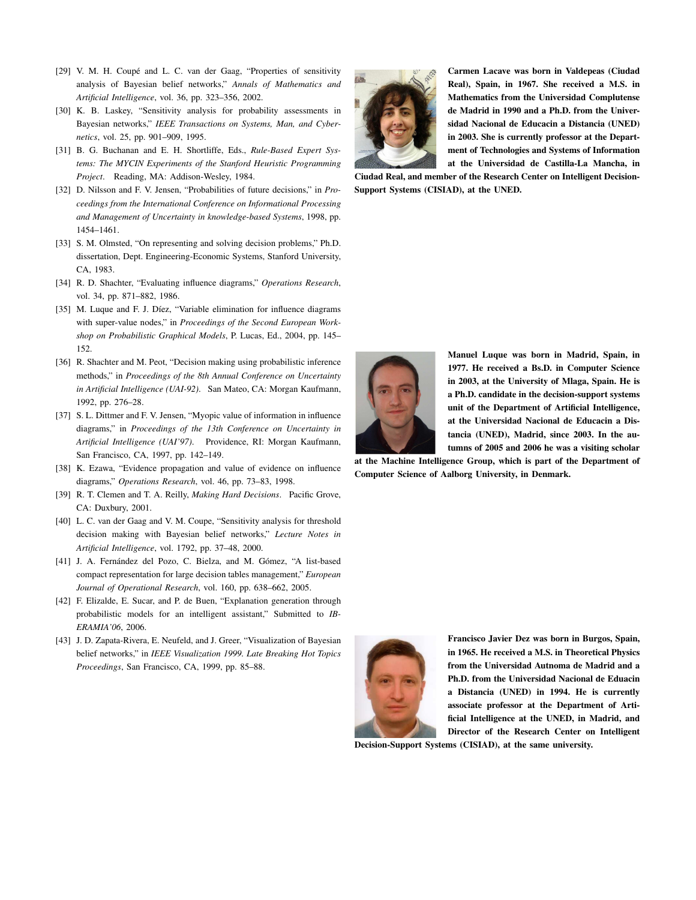- [29] V. M. H. Coupé and L. C. van der Gaag, "Properties of sensitivity analysis of Bayesian belief networks," *Annals of Mathematics and Artificial Intelligence*, vol. 36, pp. 323–356, 2002.
- [30] K. B. Laskey, "Sensitivity analysis for probability assessments in Bayesian networks," *IEEE Transactions on Systems, Man, and Cybernetics*, vol. 25, pp. 901–909, 1995.
- [31] B. G. Buchanan and E. H. Shortliffe, Eds., *Rule-Based Expert Systems: The MYCIN Experiments of the Stanford Heuristic Programming Project*. Reading, MA: Addison-Wesley, 1984.
- [32] D. Nilsson and F. V. Jensen, "Probabilities of future decisions," in *Proceedings from the International Conference on Informational Processing and Management of Uncertainty in knowledge-based Systems*, 1998, pp. 1454–1461.
- [33] S. M. Olmsted, "On representing and solving decision problems," Ph.D. dissertation, Dept. Engineering-Economic Systems, Stanford University, CA, 1983.
- [34] R. D. Shachter, "Evaluating influence diagrams," *Operations Research*, vol. 34, pp. 871–882, 1986.
- [35] M. Luque and F. J. Díez, "Variable elimination for influence diagrams with super-value nodes," in *Proceedings of the Second European Workshop on Probabilistic Graphical Models*, P. Lucas, Ed., 2004, pp. 145– 152.
- [36] R. Shachter and M. Peot, "Decision making using probabilistic inference methods," in *Proceedings of the 8th Annual Conference on Uncertainty in Artificial Intelligence (UAI-92)*. San Mateo, CA: Morgan Kaufmann, 1992, pp. 276–28.
- [37] S. L. Dittmer and F. V. Jensen, "Myopic value of information in influence diagrams," in *Proceedings of the 13th Conference on Uncertainty in Artificial Intelligence (UAI'97)*. Providence, RI: Morgan Kaufmann, San Francisco, CA, 1997, pp. 142–149.
- [38] K. Ezawa, "Evidence propagation and value of evidence on influence diagrams," *Operations Research*, vol. 46, pp. 73–83, 1998.
- [39] R. T. Clemen and T. A. Reilly, *Making Hard Decisions*. Pacific Grove, CA: Duxbury, 2001.
- [40] L. C. van der Gaag and V. M. Coupe, "Sensitivity analysis for threshold decision making with Bayesian belief networks," *Lecture Notes in Artificial Intelligence*, vol. 1792, pp. 37–48, 2000.
- [41] J. A. Fernández del Pozo, C. Bielza, and M. Gómez, "A list-based compact representation for large decision tables management," *European Journal of Operational Research*, vol. 160, pp. 638–662, 2005.
- [42] F. Elizalde, E. Sucar, and P. de Buen, "Explanation generation through probabilistic models for an intelligent assistant," Submitted to *IB-ERAMIA'06*, 2006.
- [43] J. D. Zapata-Rivera, E. Neufeld, and J. Greer, "Visualization of Bayesian belief networks," in *IEEE Visualization 1999. Late Breaking Hot Topics Proceedings*, San Francisco, CA, 1999, pp. 85–88.



Carmen Lacave was born in Valdepeas (Ciudad Real), Spain, in 1967. She received a M.S. in Mathematics from the Universidad Complutense de Madrid in 1990 and a Ph.D. from the Universidad Nacional de Educacin a Distancia (UNED) in 2003. She is currently professor at the Department of Technologies and Systems of Information at the Universidad de Castilla-La Mancha, in

Ciudad Real, and member of the Research Center on Intelligent Decision-Support Systems (CISIAD), at the UNED.



Manuel Luque was born in Madrid, Spain, in 1977. He received a Bs.D. in Computer Science in 2003, at the University of Mlaga, Spain. He is a Ph.D. candidate in the decision-support systems unit of the Department of Artificial Intelligence, at the Universidad Nacional de Educacin a Distancia (UNED), Madrid, since 2003. In the autumns of 2005 and 2006 he was a visiting scholar

at the Machine Intelligence Group, which is part of the Department of Computer Science of Aalborg University, in Denmark.



Francisco Javier Dez was born in Burgos, Spain, in 1965. He received a M.S. in Theoretical Physics from the Universidad Autnoma de Madrid and a Ph.D. from the Universidad Nacional de Eduacin a Distancia (UNED) in 1994. He is currently associate professor at the Department of Artificial Intelligence at the UNED, in Madrid, and Director of the Research Center on Intelligent

Decision-Support Systems (CISIAD), at the same university.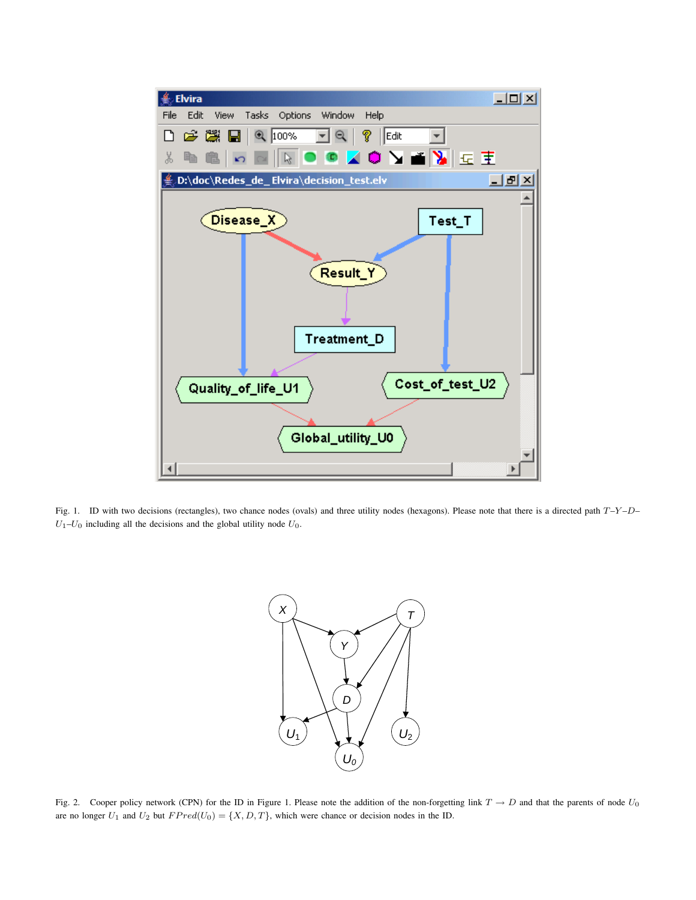

Fig. 1. ID with two decisions (rectangles), two chance nodes (ovals) and three utility nodes (hexagons). Please note that there is a directed path  $T-Y-D U_1-U_0$  including all the decisions and the global utility node  $U_0$ .



Fig. 2. Cooper policy network (CPN) for the ID in Figure 1. Please note the addition of the non-forgetting link  $T \to D$  and that the parents of node  $U_0$ are no longer  $U_1$  and  $U_2$  but  $FPred(U_0) = \{X, D, T\}$ , which were chance or decision nodes in the ID.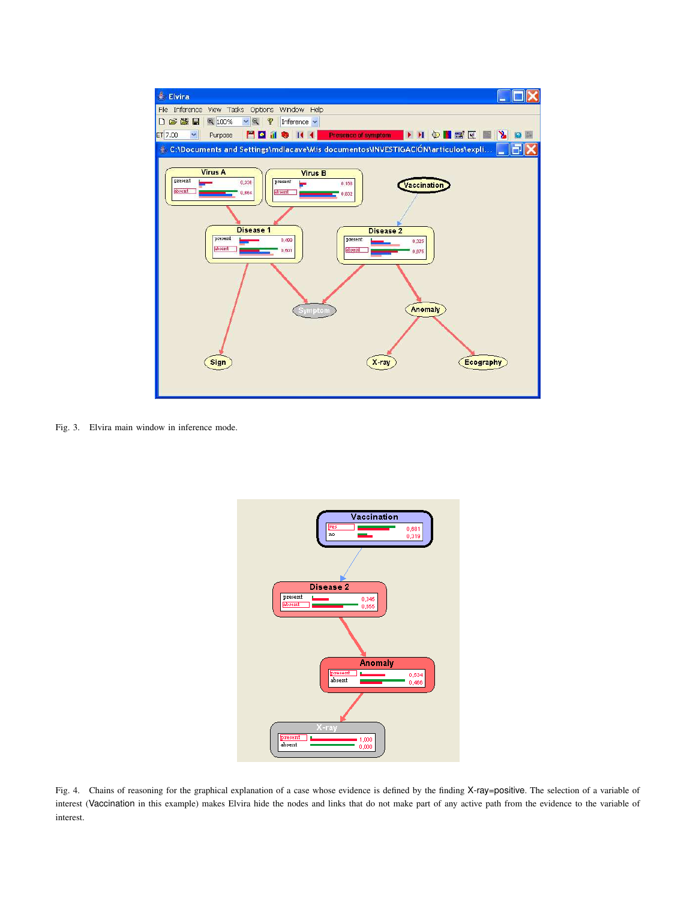

Fig. 3. Elvira main window in inference mode.



Fig. 4. Chains of reasoning for the graphical explanation of a case whose evidence is defined by the finding X-ray=positive. The selection of a variable of interest (Vaccination in this example) makes Elvira hide the nodes and links that do not make part of any active path from the evidence to the variable of interest.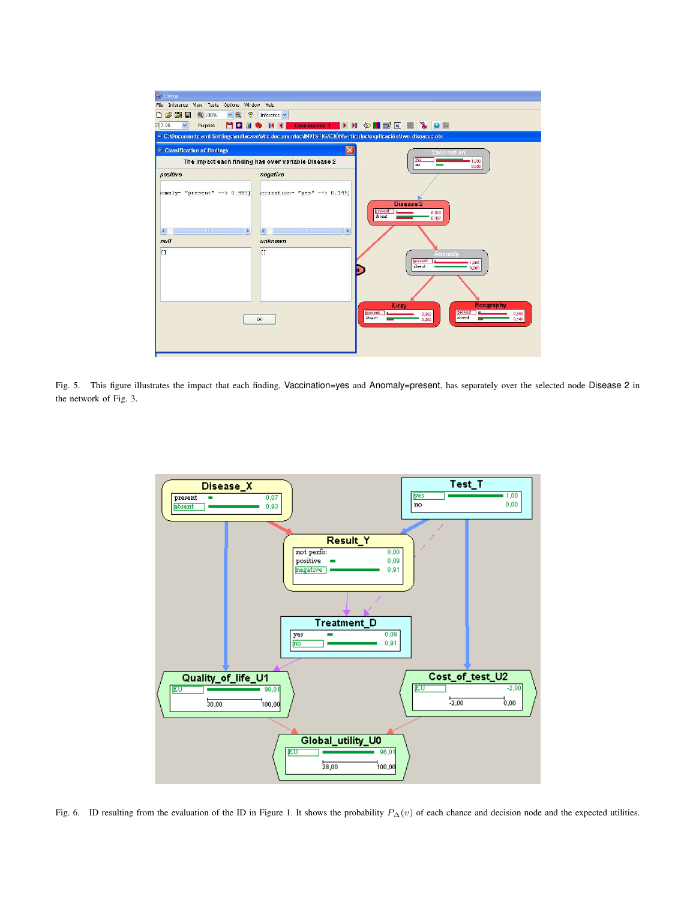

Fig. 5. This figure illustrates the impact that each finding, Vaccination=yes and Anomaly=present, has separately over the selected node Disease 2 in the network of Fig. 3.



Fig. 6. ID resulting from the evaluation of the ID in Figure 1. It shows the probability  $P_{\Delta}(v)$  of each chance and decision node and the expected utilities.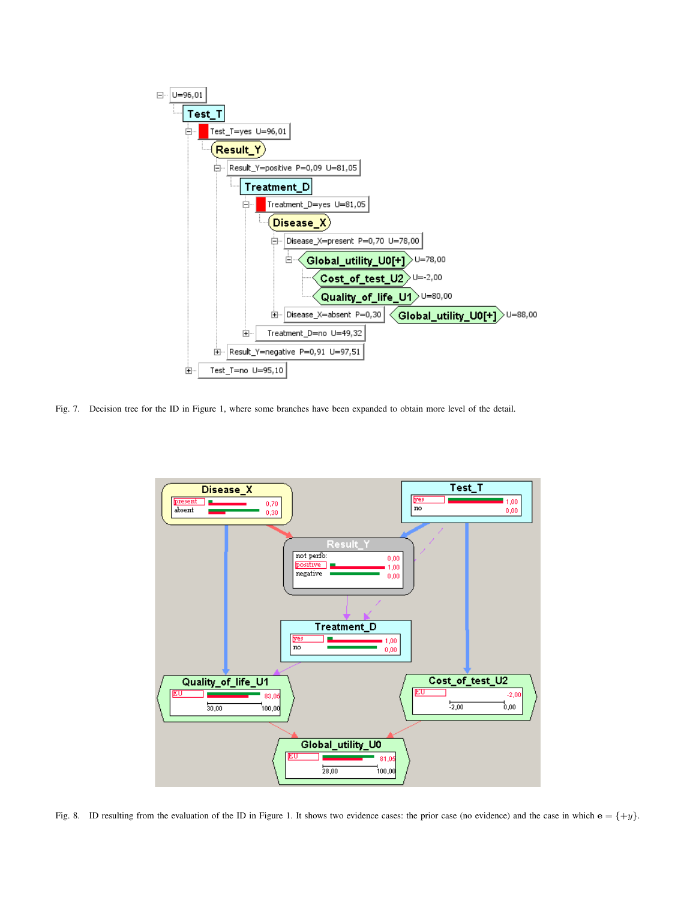

Fig. 7. Decision tree for the ID in Figure 1, where some branches have been expanded to obtain more level of the detail.



Fig. 8. ID resulting from the evaluation of the ID in Figure 1. It shows two evidence cases: the prior case (no evidence) and the case in which  $e = \{+y\}$ .